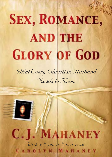# What Every Christian Husband Needs to Know



With a Word to Wives from CAROLYN MAHANEY

**C.J. MAHANEY**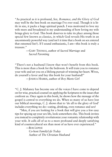"As practical as it is profound, *Sex, Romance, and the Glory of God* may well be the best book on marriage I've ever read. Though it is little in size, it packs a huge spiritual punch. I was motivated to love my wife more and broadened in my understanding of how loving my wife brings glory to God. This book deserves to take its place among those special few known as classics, in which God reveals His truth in an uncommonly powerful way (and isn't it time that a book on sex entered that esteemed list?). If I sound enthusiastic, I am—this book is truly a treasure."

> —GARY THOMAS, author of *Sacred Marriage* and *Sacred Parenting*

"There's not a husband I know that won't benefit from this book. This is more than a book for the bedroom. It will train you to romance your wife and set you on a lifelong pursuit of winning her heart. Wives, do yourself a favor and buy this book for your husband!"

—JOSHUA HARRIS, author of *Boy Meets Girl*

"C. J. Mahaney has become one of the voices I have come to depend on for wise, practical counsel on applying the Scriptures to the issues that confront us. Once again in this book, he shows how the message of the gospel is central to everything we do. When so many of us have lost our biblical moorings, C. J. shows that to 'do all to the glory of God' includes everything we do—eating, drinking, even romance and sex!

"Men, if you are looking for a book that will give you a few easy tips for spicing up your sex life, look somewhere else. This book invites you instead to completely revolutionize your romantic relationship with your wife. It calls all of us to a more profound and deeply satisfying kind of countercultural sex than most of us have ever experienced."

—BOB LEPINE

Co-host *FamilyLife Today* Author of *The Christian Husband*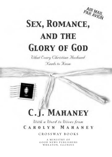**PAR MAIL**<br>PAR AVION

Chat Coery Christian Husband

Needs to Know



# C.J. MAHANEY

With a Word to Wives from CAROLYN MAHANEY

CROSSWAY B O OKS

A MINISTRY OF GOOD NEWS PUBLISHERS WHEATON, ILLINOIS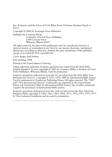*Sex, Romance, and the Glory of God: What Every Christian Husband Needs to Know*

Copyright © 2004 by Sovereign Grace Ministries

Published by Crossway Books A ministry of Good News Publishers 1300 Crescent Street Wheaton, Illinois 60187

All rights reserved. No part of this publication may be reproduced, stored in a retrieval system or transmitted in any form by any means, electronic, mechanical, photocopy, recording or otherwise, without the prior permission of the publisher, except as provided by USA copyright law.

Cover design: Josh Dennis

First printing, 2004

Printed in the United States of America

Unless otherwise indicated, Scripture quotations are taken from the *Holy Bible: English Standard Version*, copyright © 2001 by Crossway Bibles, a division of Good News Publishers, Wheaton, Illinois. Used by permission.

Scripture quotations indicated as from the NIV are taken from the *Holy Bible: New International Version*®. Copyright © 1973, 1978, 1984 by International Bible Society. Used by permission of Zondervan Publishing House. All rights reserved. The "NIV" and "New International Version" trademarks are registered in the United States Patent and Trademark Office by International Bible Society. Use of either trademark requires the permission of International Bible Society.

Scripture quotations indicated as from the NASB are taken from the *New American Standard Bible*, copyright © 1960, 1962, 1963, 1968, 1971, 1972, 1973, 1975, 1977 by The Lockman Foundation and are used by permission.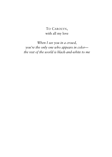#### TO CAROLYN, with all my love

*When I see you in a crowd, you're the only one who appears in color the rest of the world is black-and-white to me*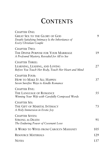## **CONTENTS**

| CHAPTER ONE:<br><b>GREAT SEX TO THE GLORY OF GOD</b><br>Deeply Satisfying Intimacy Is the Inheritance of<br>Every Christian Couple | 9    |
|------------------------------------------------------------------------------------------------------------------------------------|------|
| <b>CHAPTER TWO:</b><br>The Divine Purpose for Your Marriage<br>A Profound Mystery, Revealed for All to See                         | 19   |
| <b>CHAPTER THREE:</b><br>LEARNING, LEADING, AND LOVING<br>Before You Touch Her Body, Touch Her Heart and Mind                      | 27   |
| CHAPTER FOUR:<br>HOW TO MAKE IT ALL HAPPEN<br>Seven Surefire Ways to Kindle Romance                                                | 37   |
| CHAPTER FIVE:<br>THE LANGUAGE OF ROMANCE<br>Winning Your Wife with Carefully Composed Words                                        | 55   |
| CHAPTER SIX:<br>THE GIFT OF MARITAL INTIMACY<br>A Holy Immersion in Erotic Joy                                                     | 73   |
| <b>CHAPTER SEVEN:</b><br>STRONG AS DEATH<br>The Enduring Power of Covenant Love                                                    | 91   |
| A WORD TO WIVES FROM CAROLYN MAHANEY                                                                                               | 10.5 |
| <b>RESOURCE MATERIALS</b>                                                                                                          | 129  |
| NOTES                                                                                                                              | 137  |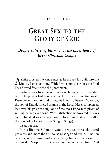#### CHAPTER ONE

### **GREAT SEX TO THE GLORY OF GOD**

*Deeply Satisfying Intimacy Is the Inheritance of Every Christian Couple*

A smile crossed the king's face as he dipped his quill into the inkwell one last time. With firm, smooth strokes the final lines flowed freely onto the parchment.

Pushing back from his writing desk, he sighed with satisfaction. The project had gone very well. This was some fine work. Rising from the chair and lifting his hands to heaven, Solomon, the son of David, offered thanks to the Lord. Here, complete at last, was his greatest song, one of the most important pieces of writing he had ever done. With satisfaction he lowered his eyes to the finished work spread out before him. Today we call it the Song of Solomon (or the Song of Songs).

It's about sex.

In his lifetime Solomon would produce three thousand proverbs and more than a thousand songs and hymns. The son of a legendary king, and a great king himself, he would be esteemed in Scripture as the wisest man who had yet lived. And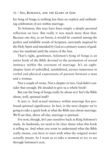his Song of Songs is nothing less than an explicit and unblushing celebration of sex within marriage.

To Solomon, this may have been simply a deeply personal reflection on love. But really it was much more than that. Because one day, as we know, it would be counted among the perfect and infallible words of Scripture, inerrantly inspired by the Holy Spirit and intended by God as a primary source of guidance for mankind until the return of the Son.

That's right, gentlemen. Solomon's Song of Songs is an entire book of the Bible devoted to the promotion of sexual intimacy within the covenant of marriage. It's an eightchapter feast of unbridled, uninhibited, joyous immersion in verbal and physical expressions of passion between a man and a woman.

Not a couple of verses. Not a chapter or two. God didn't consider that enough. He decided to give us a whole book!

But can the Song of Songs really be about sex? Isn't the Bible about, well, spiritual stuff?

It sure is. And sexual intimacy within marriage has profound spiritual significance. In fact, in the next chapter we're going to take a quick look at what the Bible says about marriage. We'll see that, above all else, marriage is spiritual.

For now, though, let's put ourselves back in King Solomon's study. As husbands, we need to be clear about what this book is telling us. And when you want to understand what the Bible really means, you have to start with what the original writer actually meant. So I want us to take a moment to try to see through Solomon's eyes.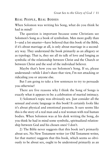#### **REAL PEOPLE, REAL BODIES**

When Solomon was writing his Song, what do you think he had in mind?

The question is important because some Christians see Solomon's Song as a book of symbolism. Men more godly than I—and a lot smarter—have believed that this book of the Bible, if it's about marriage at all, is only about marriage in a secondary way. They understand the book primarily as an allegory or as typology. That is, they see all its talk of love and longing as symbolic of the relationship between Christ and the Church or between Christ and the soul of the individual believer.

Maybe that's how you see Solomon's Song. If so, please understand—while I don't share that view, I'm not attacking or ridiculing you or anyone else.

But I am going to take a few sentences to try to persuade you otherwise!

There are five reasons why I think the Song of Songs is exactly what it appears to be: a celebration of marital intimacy.

1) Solomon's topic was obviously sex. Just consider all the sensual and erotic language in this book! It certainly *looks* like it's about physical and emotional passions. It sure seems like this is the story of a real man and a real woman with real human bodies. When Solomon was at his desk writing the Song, do you think he had in mind some symbolic, spiritualized relationship between God and his chosen ones? I don't.

2) The Bible never suggests that this book isn't primarily about sex. No New Testament writer (or Old Testament writer, for that matter) suggests that this book, which seems so obviously to be about sex, ought to be understood primarily as an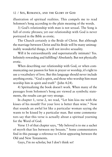illustration of spiritual realities. This compels me to read Solomon's Song according to the plain meaning of the words.

3) God's relationship with man is not sexual. The Song is full of erotic phrases; yet our relationship with God is never portrayed in the Bible as erotic.

The Church certainly *is* the Bride of Christ. But although the marriage between Christ and his Bride will be many unimaginably wonderful things, it will not involve sexuality.

Will it be extraordinarily and supernaturally intimate? Yes. Infinitely rewarding and fulfilling? Absolutely. But not physically erotic.

When describing our relationship with God, or when communicating our passion for him in prayer or worship, it's right to use a vocabulary of love. But this language should never include anything erotic. "God is spirit, and those who worship him must worship him in spirit and truth" (John 4:24).

4) Spiritualizing the book doesn't work. When many of the passages from Solomon's Song are viewed as symbolic statements, the results can get very strange.

In chapter 1, verse 2, we read, "Let him kiss me with the kisses of his mouth! For your love is better than wine." Now that sounds an awful lot like a particular woman saying she wants to be kissed by a particular man. But some commentators say that this verse is actually about a spiritual yearning for the Word of God.

Verse 13 of that chapter says, "My beloved is to me a sachet of myrrh that lies between my breasts." Some commentators find in this passage a reference to Christ appearing between the Old and New Testaments.

Guys, I'm no scholar, but I don't think so!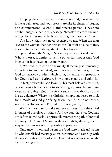Jumping ahead to chapter 7, verse 7, we find, "Your stature is like a palm tree, and your breasts are like its clusters." Again, one commentator—a godly and sincere person, I have no doubt—suggests that in this passage "breasts" refers to the nurturing effect that sound biblical teaching has upon the Church.

You know, that idea never occurred to me. When the man says to the woman that her breasts are like fruit on a palm tree, it seems to me he's talking about . . . her breasts!

Spiritualizing the Song of Solomon just doesn't make sense. What's worse, it denies to us the powerful impact that God intends for it to have on our marriages.

5) We need instruction on sexuality. If marriage is immensely important to God (and it is), and if sex is a marvelous gift from God to married couples (which it is), it's entirely appropriate for God to tell us in Scripture how to understand and enjoy it.

In fact, how could God leave us, his most beloved creatures, on our own when it comes to something as powerful and universal as sexuality? Would he give us such a gift without also giving us guidance? Where is a Christian couple supposed to look for a model of God-glorifying sexuality? If not to Scripture, where? To Hollywood? Pop culture? Pornography?

We must not, cannot take our sexual cues from the sinful impulses of ourselves or others. And we don't have to. God has not left us in the dark. Scripture illuminates the path of marital intimacy. The Song of Solomon shines brightly, showing us the way to the best sex we can possibly experience.

Guidance . . . on sex? From the God who made us? From he who established marriage as an institution and came up with the whole fantastic idea of sex? Now that is guidance we ought to receive eagerly.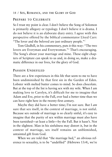#### **PREPARE TO CELEBRATE**

So I trust my point is clear. I don't believe the Song of Solomon is primarily allegory or typology. I don't believe it is drama. I do not believe it is an elaborate diary entry. I agree with this perspective offered by the biblical commentator Lloyd Carr: "The lover and the beloved are just ordinary people."1

Tom Gledhill, in his commentary, puts it this way: "The two lovers are Everyman and Everywoman."2 That's encouraging. The Song's about your marriage and mine. These eight chapters of Scripture can speak to us and, in doing so, make a dramatic difference in our lives, for the glory of God.

#### **PASSION UNDEFILED**

There are a few experiences in this life that seem to me to have been undiminished by that first sin in the Garden of Eden. Lobster with melted butter comes to mind. So does chocolate. But at the top of the list is having sex with my wife. When I am making love to Carolyn, it's difficult for me to imagine that Adam and Eve, prior to the Fall, ever had a better time than we can have right here in the twenty-first century.

Maybe they did have a better time; I'm not sure. But I *am* sure that sex itself, in the context of marriage, is not sinful. Because sex outside of marriage is so clearly sinful, it's easy to imagine that the purity of sex within marriage must also have been tarnished—at least a little—by the Fall. But it hasn't. Not in the slightest. Man in his sinfulness may distort it, but in the context of marriage, sex itself remains an unblemished, untainted gift from God.

When we are told that "the marriage bed," an obvious reference to sexuality, is to be "undefiled" (Hebrews 13:4), we're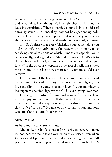reminded that sex in marriage is intended by God to be a pure and good thing. Even though it's intensely physical, it is not the least bit unspiritual. When a married couple is in the midst of enjoying sexual relations, they may not be experiencing holiness in the same way they experience it when praying or worshiping God, but make no mistake—that is a very holy moment.

It is God's desire that every Christian couple, including you and your wife, regularly enjoy the best, most intimate, most satisfying sexual relations of which humans are capable. We're talking really, really good sex. Marital intimacy is God's gift to those who enter his holy covenant of marriage. And what a gift it is! With the obvious exception of the gospel itself, this strikes me as some of the best news man (and woman) could ever receive!

The purpose of the book you hold in your hands is to lead us back into God's ideal of joyful, unashamed, indulgent, loving sexuality in the context of marriage. If your marriage is lacking in the passion department, God—ever-loving, ever-merciful—is eager to unfold for you and your wife new levels of intimate joy and satisfaction. If that area of your marriage is already cooking along quite nicely, don't think for a minute that you've "arrived." No matter how romantic you and your wife are, there is more. Much more.

#### **MEN, WE MUST LEAD**

As husbands, it all starts with us.

Obviously, this book is directed primarily to men. As a man, it's not ideal for me to teach women on this subject. Even when Carolyn and I present this material in a marriage seminar, 90 percent of my teaching is directed to the husbands. That's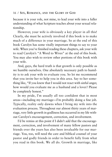because it is your role, not mine, to lead your wife into a fuller understanding of what Scripture teaches about your sexual relationship.

However, your wife is obviously a key player in all this! Clearly, she must be actively involved if this book is to make much of a difference in your marriage. So at the end of this book Carolyn has some vitally important things to say to your wife. When you've finished reading these chapters, ask your wife to read Carolyn's "A Word to Wives" at the end of this book. You may also wish to review other portions of this book with your wife.

And, guys, the hard truth is that growth is only possible as we humble ourselves. One absolutely necessary path to humility is to ask your wife to evaluate you. So let me recommend that you invite her to help you in this area. Say to her something like, "If you knew that I would not react with sinful anger, how would you evaluate me as a husband and a lover? Please be completely honest."

In my pride, I'm usually all too confident that in most areas—including my marriage—I'm probably doing a fine job. Typically, reality only dawns when I bring my wife into the evaluation process. Throughout our almost thirty years of marriage, very little growth in godliness has occurred in my life without Carolyn's encouragement, correction, and involvement.

I'd be remiss at this point if I didn't add that the encouragement, correction, and involvement of many fellow pastors and friends over the years has also been invaluable for our marriage. You, too, will need the care and biblical counsel of your pastor and godly friends in order to benefit fully from what you read in this book. We all do. Growth in marriage, like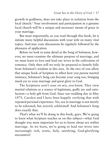growth in godliness, does not take place in isolation from the local church.<sup>3</sup> Your involvement and participation in a genuine local church will be a unique and necessary means of grace in your marriage.

But most importantly, as you read through this book, let it initiate many helpful discussions with your wife on many vital topics. And may your discussions be regularly followed by the pleasures of application.

Before we look in some detail at the Song of Solomon, however, we must examine the ultimate purpose of marriage, and we must learn to love and lead our wives in the cultivation of romance. Only then will we truly be prepared to benefit fully from Solomon's wisdom in this area. As the two of you allow that unique book of Scripture to affect how you pursue marital intimacy, Solomon's Song can become your song too, bringing much joy to your marriage and great glory to God.

The Scriptures aren't sour on sex, you know. They view marital relations as a source of legitimate, godly joy and satisfaction—a holy gift from God. Since our wedding day in May 1975, Carolyn and I have been happily verifying that with repeated personal experience. No, sex in marriage is not merely to be tolerated, but actively celebrated! And Solomon's Song does exactly that.

That's what we'll be doing in this book, guys. We're going to learn what Scripture teaches us on this subject—what God thought was most important for us to know about sex within marriage. As we learn, we're going to lead our wives into increasingly rich, erotic, holy, satisfying, God-glorifying encounters!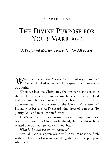#### CHAPTER TWO

### **THE DIVINE PURPOSE FOR YOUR MARRIAGE**

*A Profound Mystery, Revealed for All to See*

*Why am I here? What is the purpose of my existence?* We've all asked ourselves those questions in one way or another.

When we become Christians, the answer begins to take shape. The truly converted man knows he is here because of God and for God. But we can still wonder how to really nail it down—what is the purpose of the Christian's existence? Probably the best answer I've heard is hundreds of years old: "To glorify God and to enjoy him forever."4

That's an excellent, brief answer to a most important question. But if you're a Christian husband, there ought to be a related question occupying your thoughts.

*What is the purpose of my marriage?*

After all, God has given you a wife. You are now one flesh with her. The two of you are joined together at the deepest possible level.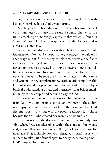So, do you know the answer to that question? Do you realize your marriage has a God-given purpose?

Maybe you have been drawn to this book because you feel your marriage could use more sexual spark. Thanks to the Bible's teaching on marriage, especially that which is found in Solomon's Song, I believe that spark is available for you to discover and experience.

But if this book discussed sex without first answering the critical question, *What is the purpose of my marriage?* it would only encourage our sinful tendency to relate to our wives selfishly rather than serving them for the glory of God. You see, sex is never supposed to be treated as simply a means of personal fulfillment. Sex is derived from marriage. It's intended to serve marriage, and never to be separated from marriage. It's about man and wife in loving, complementary, erotic relationship. It is this kind of sex—taking place within marriage and informed by a biblical understanding of sex and marriage—that brings maximum joy to the couple and genuine glory to God.

Of course, secular culture seeks sexual fulfillment in isolation from God's wisdom, promising men and women all the enduring enjoyment of sexuality without the context that God designed for it. But that worldly promise always falls short because the One who created sex won't let it be fulfilled!

The best sex and the deepest human intimacy are only possible when, first, sex takes place within the context of marriage, and, second, that couple is living in the light of God's purpose for marriage. That is simply how God designed it. And this is why we need to take part of this chapter to clarify that second point— God's purpose for marriage.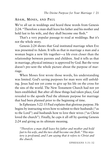#### **ADAM, MOSES , AND PAUL**

We've all sat in weddings and heard these words from Genesis 2:24: "Therefore a man shall leave his father and his mother and hold fast to his wife, and they shall become one flesh."

That's a very popular passage to read at weddings. But it's not the whole story.

Genesis 2:24 shows that God instituted marriage when Eve was presented to Adam. It tells us that in marriage a man and a woman begin a new life together—a life even closer than the relationship between parents and children. And it tells us that in marriage, physical intimacy is approved by God. But the verse doesn't pre-sent the whole picture about the purpose of marriage.

When Moses first wrote those words, his understanding was limited. God's saving purposes for man were still unfolding. Jesus had not yet come to give up his life on the cross for the sins of the world. The New Testament Church had not yet been established. But after all these things had taken place, God revealed to the apostle Paul the ultimate purpose for marriage that had been planned prior to the beginning of time.

In Ephesians 5:22-33 Paul explains that glorious purpose. He begins by instructing wives how to submit to their husbands ("as to the Lord") and husbands how to love their wives ("as Christ loved the church"). Finally, he caps it all off by quoting Genesis 2:24 and giving us its ultimate meaning.

*"Therefore a man shall leave his father and mother and hold fast to his wife, and the two shall become one flesh."This mystery is profound, and I am saying that it refers to Christ and the church.*

EPHESIANS 5:31-32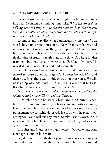As we consider these verses, we might not be immediately inspired. We might be thinking things like, *What exactly is Paul talking about? I may not be the sharpest knife in the drawer, but I don't really see what's so profound here. Plus, if it's a mystery, how can I understand it?*

It's important to realize what Paul means by "mystery." The word shows up several times in his New Testament letters, and not once does it mean something incomprehensible or impossible to understand. Instead, Paul uses the word to refer to a particular kind of truth—a truth that, for a time, God kept hidden from man but that he has now revealed. For Paul, "mystery" is revealed truth, made plain and understandable.

So in Ephesians 5—the most significant and remarkable passage of Scripture about marriage—Paul quotes Genesis 2:24, and then he tells us there was a hidden truth in that verse. He tells us it's a "profound" truth. And he tells us what that truth is. It's what he has been explaining since verse 22.

*Marriage between a man and a woman is meant to reflect the relationship between Christ and the Church.*

That relationship between Christ and the Church is certainly profound and amazing. Christ came to earth as a man, lived a perfect life, and died on the cross for our sins, taking the punishment we so richly deserved. He is now in heaven interceding for us and will one day return to take us as his own. In the meantime the Church depends on him, serves him, and seeks to glorify him in all of life.

In Ephesians 5 Paul is saying, in effect, "Guess what, your marriage is kind of like that!"

So, although this truth about your marriage is something you can understand, it still ought to be profoundly mysterious and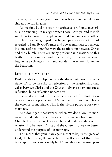amazing, for it makes your marriage as holy a human relationship as one can imagine.

At one time I did not see my marriage as profound, mysterious, or amazing. In my ignorance I saw Carolyn and myself simply as two married people who loved God and one another.

I had not yet grasped the bigger picture that God had revealed to Paul: By God's grace and power, marriage can reflect, in some real yet imperfect way, the relationship between Christ and the Church. There are many profound implications to this truth. To really understand it is to find your entire marriage beginning to change in rich and wonderful ways—including in the bedroom.

#### **LIVING THE MYSTERY**

Paul reveals to us in Ephesians 5 the divine intention for marriage. It's to be an echo or reflection of the relationship that exists between Christ and the Church—always a very imperfect reflection, but a reflection nonetheless.

Please don't think of this as merely a helpful illustration or an interesting perspective. It's much more than that. This is the essence of marriage. This is the divine purpose for *your* marriage.

And don't get it backwards either. We don't look to marriage to understand the relationship between Christ and the Church. Instead, we seek a clear, biblical understanding of the relationship between Christ and the Church so we can better understand the purpose of our marriage.

This means that your marriage is meant to be, by the grace of God, the best echo, the most faithful reflection, of that relationship that you can possibly be. It's not about impressing peo-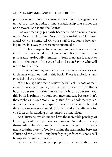ple or drawing attention to ourselves. It's about being genuinely united in a strong, godly, intimate relationship that echoes the one between Christ and the Church.

Has your marriage primarily been centered on you? On your wife? On your children? On your responsibilities? On your goals? On your comforts? On your stuff? If so, you've been trying to live in a way you were never intended to.

The biblical purpose for marriage, you see, is not man-centered or needs-centered. It's God-centered. It's profoundly mysterious and profoundly significant. Your marriage is meant to point to the truth of the crucified and risen Savior who will return for his Bride.

This understanding will help you immensely as you seek to implement what you find in this book. There is a glorious purpose behind the practice.

We're taking this time to review the biblical purpose of marriage because, let's face it, men can all too easily think that a book about sex is nothing more than a book about sex. Yes, this book is primarily about romance and sex, because that's the emphasis in Solomon's Song. But if this book merely recommended a set of techniques, it would be no more helpful than some secular sex manual. What will make the difference for you is an understanding of the purpose of marriage.

As Christians, we do indeed have the incredible privilege of knowing the ultimate purpose for marriage. But unless we grasp this—unless there's a conviction that marriage is ultimately meant to bring glory to God by echoing the relationship between Christ and the Church—any benefit you get from this book will be superficial and temporary.

So we see that there is a purpose in marriage that goes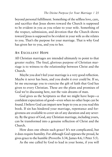beyond personal fulfillment. Something of the selfless love, care, and sacrifice that Jesus shows toward the Church is supposed to be evident in you as you relate to your wife. Something of the respect, submission, and devotion that the Church shows toward Jesus is supposed to be evident in your wife as she relates to you. That's the purpose for your marriage. That is why God has given her to you, and you to her.

#### **AN EXCELLENT HOPE**

All Christian marriages are intended ultimately to point to that greater reality. The final, glorious purpose of Christian marriage is to witness to the relationship between Christ and the Church.

Maybe you don't feel your marriage is a very good reflection. Maybe it never has been, and you doubt it ever could be. If so, let me encourage you to exercise the gift of faith that God has given to every Christian. These are the plans and promises of God we're discussing here, not the vain dreams of man.

God gives us the Scriptures so that we might have hope—a confident expectation of good—even when no other hope can be found. I believe God can impart new hope to you as you read this book. If sin has hindered your marriage, repentance and forgiveness are available to cover sin of any duration and any severity. By the grace of God, any Christian marriage, including yours, can be transformed into a genuine reflection of Christ and the Church.

How does one obtain such grace? It's not complicated, but it does require humility. For although God opposes the proud, he gives grace to the humble (Proverbs 3:34; James 4:6; 1 Peter 5:5).

As the one called by God to lead in your home, if you will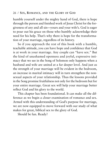humble yourself under the mighty hand of God, there is hope through the person and finished work of Jesus Christ for the forgiveness of any and all sin—yours and your wife's. God is eager to pour out his grace on those who humbly acknowledge their need for his help. That's why there is hope for the transformation of your marriage, regardless of its history.

So if you approach the rest of this book with a humble, teachable attitude, you can have hope and confidence that God is at work in your marriage. Any couple can "have sex." But the kind of unashamed openness and joyful, expressive intimacy that we see in the Song of Solomon only happens when a husband and wife are united at a far deeper level. And just as the strength of your marriage will be evident in the bedroom, an increase in marital intimacy will in turn strengthen the nonsexual aspects of your relationship. Thus the lessons provided in the Song promise fruitfulness not only for the bedroom but for your entire marriage. Great sex will help your marriage better reflect God and his glory to the world.

This chapter has been foundational. It can make all the difference as we begin a closer examination of romance and sex. Armed with this understanding of God's purpose for marriage, we are now equipped to move forward with our study of what makes for great, biblical sex to the glory of God.

Should be fun. Ready?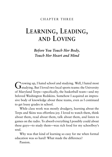#### CHAPTER THREE

### **LEARNING, LEADING, AND LOVING**

*Before You Touch Her Body, Touch Her Heart and Mind*

Growing up, I hated school and studying. Well, I hated most<br>
Studying. But I loved two local sports teams: the University of Maryland Terps—specifically, the basketball team—and my beloved Washington Redskins. Somehow I acquired an impressive body of knowledge about these teams, even as I continued to get lousy grades in school.

While class work was mostly drudgery, learning about the Terps and Skins was effortless joy. I loved to watch them, think about them, read about them, talk about them, and listen to games on the radio. To absorb everything I possibly could about these guys—to study them—was rich food for my schoolboy's soul.

Why was that kind of learning so easy for me when formal education was so hard? What made the difference?

Passion.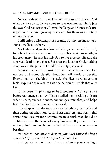No secret there. What we love, we want to learn about. And what we love to study, we come to love even more. That's just the way God has wired us. I loved the Terps and Skins; so learning about them and growing in my zeal for them was a totally natural process.

I still enjoy following those teams, but my strongest passions now lie elsewhere.

My highest and greatest love will always be reserved for God, for when I was his enemy and worthy of his righteous wrath, in his great mercy he sent his only Son to live a perfect life and die a perfect death in my place. But after my love for God, nothing compares to the passion I hold for Carolyn, my wife.

Because I have this passion for her, I have studied her. I've noticed and noted details about her. All kinds of details. Everything from the kinds of snacks she likes, to what certain facial expressions reveal, to this one particular freckle that only I see.

It has been my privilege to be a student of Carolyn since before our engagement. As I have studied her—seeking to learn what pleases, excites, honors, encourages, refreshes, and helps her—my love for her has only increased.

This chapter and the next are about studying your wife and then acting on what you learn. Both chapters, and really this entire book, are meant to communicate a truth that should be emblazoned on the heart of every husband. If you remember nothing else from this chapter, or indeed the entire book, remember this:

*In order for romance to deepen, you must touch the heart and mind of your wife before you touch her body.*

This, gentlemen, is a truth that can change your marriage.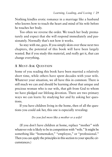Nothing kindles erotic romance in a marriage like a husband who knows how to touch the heart and mind of his wife before he touches her body.

Too often we reverse the order. We touch her body prematurely and expect that she will respond immediately and passionately. Normally that's not how it works.

So stay with me, guys. If you simply skim over these next two chapters, the potential of this book will have been largely wasted. But if you study this material, and really get it, that can change everything.

#### **A MUST-ASK QUESTION**

Some of you reading this book have been married a relatively short time, while others have spent decades with your wife. Whatever your situation, we all have this in common: There is still much we can and should be learning about that unique and precious woman who is our wife, that gift from God to whom we have pledged our lifelong devotion. There are two primary ways we can learn: by studying her and by asking her questions.

If you have children living in the home, then of all the questions you could ask her, this one is especially revealing:

*Do you feel more like a mother or a wife?*

(If you don't have children at home, replace "mother" with whatever role is likely to be in competition with "wife." It might be something like "homemaker," "employee," or "professional." Then you can apply the principles in this section to your specific circumstances.)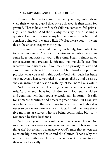There can be a selfish, sinful tendency among husbands to view their wives as a goal that, once achieved, is then taken for granted. That is how a wife with children comes to feel primarily like a mother. And that is why the very idea of asking a question like this can cause many husbands to swallow hard and consider going off to watch a little TV. But please don't—I want this to be an encouragement to you.

There may be many children in your family, from infants to twenty-somethings. A variety of legitimate activities may consume huge quantities of your wife's time. Health, finances, or other factors may present significant, ongoing challenges. But whatever your situation, if you make it a priority to love and care for your wife as Christ does the Church—if you put into practice what you read in this book—God will touch her heart so that, even when surrounded by diapers, dishes, and diseases, she can answer that question with joy: "I feel more like a wife."

Not for a moment am I denying the importance of a mother's role. Carolyn and I have four children (with four grandchildren and counting). Motherhood is exceptionally important. It calls for immense sacrifices and deserves great honor. But I can say with full conviction that according to Scripture, motherhood is never to be a wife's primary role. In fact, I think the most effective mothers are wives who are being continually, biblically romanced by their husbands.

As for you, your primary role is not to raise your children (or to excel in your career or immerse yourself in hobbies or anything else) but to build a marriage by God's grace that reflects the relationship between Christ and the Church. That's why the most effective fathers are husbands who make it their aim to love their wives biblically.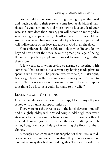Godly children, whose lives bring much glory to the Lord and much delight to their parents, come from truly biblical marriages. As you learn more and more how to love and lead your wife as Christ does the Church, you will become a more godly, wise, loving, compassionate, Christlike father to your children. And your wife will become more full of joy, hope, and peace and will radiate more of the love and grace of God in all she does.

Your children should be able to look at your life and know beyond any doubt that they have the great privilege of being the most important people in the world to you . . . right after their mom.

A few years ago, when trying to arrange a meeting with someone, I had to rule out a certain day, having made plans to spend it with my son. The person I was with said, "That's right; being a godly dad is the most important thing you do." I had to reply, "No, it is the second most important. The most important thing I do is to be a godly husband to my wife."

#### **LEARNING AND GATHERING**

One day while away on a ministry trip, I found myself presented with an unusual opportunity . . .

There were just the three of us in the hotel elevator—myself and a slightly older, well-dressed couple. Although they were strangers to me, they were obviously married to one another. I greeted them as I got on, and since they were talking to each other, I began my social duty of watching the floor numbers change.

Although I had come into this snapshot of their lives in midconversation, within moments I realized they were talking about a recent getaway they had enjoyed together. The elevator ride was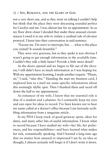not a very short one, and as they went on talking I couldn't help but think that the place they were discussing sounded perfect for Carolyn and me. I was almost late for an appointment. So as my floor drew closer I decided that under these unusual circumstances I owed it to my wife to violate a cardinal rule of elevator protocol. I burst into their conversation in mid-sentence.

"Excuse me. I'm sorry to interrupt, but . . . what is this place you visited? It sounds beautiful."

They were very gracious, but as they spoke it was obvious I wasn't going to get enough information in the available time. Couldn't they talk a little faster? Provide a little more detail?

As the doors opened and we began to file out of the elevator, I still didn't have as much information as I was hoping for. With my appointment looming, I made another request. "Please, sir," I said, "take this." Handing the man my business card, I implored him to e-mail me some specific information about this seemingly idyllic spot. Then I thanked them and raced off down the hall to my appointment.

As romancer of my wife, I know that my essential role is that of a student and a planner. So I constantly keep my eyes and ears open for ideas to record. I've been known not to hear my name called at a doctor's office because I am furiously scribbling information from a magazine article.

In my PDA I keep track of good getaway spots, ideas for dates, and many other bits of useful information. I know what to record because I have studied my wife—her life, her preferences, and her responsibilities—and have learned what makes her tick, romantically speaking. And I learned a long time ago that no matter how amazed or impressed I am by an idea or thought, I almost certainly will forget it if I don't write it down.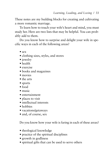These notes are my building blocks for creating and cultivating a more romantic marriage.

To learn how to touch your wife's heart and mind, you must study her. Here are two lists that may be helpful. You can probably add to them.

Do you know how to surprise and delight your wife in specific ways in each of the following areas?

- sex
- clothing sizes, styles, and stores
- jewelry
- health
- exercise
- books and magazines
- movies
- the arts
- sports
- food
- music
- entertainment
- places to visit
- intellectual interests
- hobbies
- vacations/getaways
- and, of course, sex

Do you know how your wife is faring in each of these areas?

- theological knowledge
- practice of the spiritual disciplines
- growth in godliness
- spiritual gifts that can be used to serve others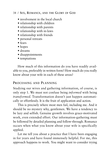- involvement in the local church
- relationship with children
- relationship with parents
- relationship with in-laws
- relationship with friends
- personal retreats
- fears
- hopes
- dreams
- disappointments
- temptations

How much of this information do you have readily available to you, preferably in written form? How much do you really know about your wife in each of these areas?

#### **PROCESSING AND PLANNING**

Studying our wives and gathering information, of course, is only step 1. We must not confuse being *informed* with being *transformed*. Transformation doesn't just happen automatically or effortlessly. It is the fruit of application and action.

This is precisely where most men fail, including me. And it should be no mystery why, gentlemen. We have a tendency to be lazy and selfish. Genuine growth involves grace-motivated work, even extended effort. Our information-gathering must be followed by detailed planning and follow-through. Romance occurs when what you know about your wife is specifically applied.

Let me tell you about a practice that I have been engaging in for years and have found immensely helpful. For me, this approach happens to work. You might want to consider trying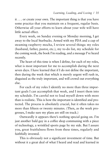it . . . or create your own. The important thing is that you have some practice that you maintain on a frequent, regular basis. Otherwise all your efforts to learn about your wife will have little actual effect.

Every week, on Sunday evening or Monday morning, I get away to the local Starbucks. Armed with my PDA and a cup of steaming raspberry mocha, I review several things: my roles (husband, father, pastor, etc.), my to-do list, my schedule for the coming week, the book I'm reading, and a message I've heard recently.

The heart of this time is when I define, for each of my roles, what is most important for me to accomplish during the next seven days. I have learned that if I do not define the important, then during the week that which is merely urgent will rush in, disguised as the truly important, and will crowd out everything else.

For each of my roles I identify no more than three important goals I can accomplish that week, and I insert them into my schedule. I'm careful not to load myself down with more than is realistic. This is how the important is identified and protected. The process is absolutely crucial, but it often takes no more than fifteen or twenty minutes. (Then, as the week progresses, I make sure my plans are still on track.)

Outwardly it appears there's nothing special going on. I'm just another bald guy in a coffee shop communing with a piece of technology, a wrinkled sports page by my side. But I assure you, great fruitfulness flows from these times, regularly and faithfully invested.

This is obviously not a significant investment of time. But without it a great deal of what I heard and read and learned in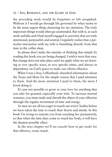the preceding week would be forgotten or left unapplied. Without it I would go through life governed by what seems to be the most urgent thing clamoring for my attention. The truly important things would often go unattended. But with it, as each week unfolds and I find myself engaged in activities that are truly intentional, purposeful, and central, I regularly realize that a particular interaction with my wife is benefiting directly from that time in the coffee shop.

So please don't make the mistake of thinking that simply by reading this book you are being changed. I wish it were that easy. But change does not take place until we apply what we are learning in very specific ways, at very specific times, and always in dependence on God's grace to make our efforts effective.

When I was a boy, I effortlessly absorbed information about the Terps and Skins for the simple reason that I paid attention to them. And the more attention I paid to them, the more I loved doing it.

It's just not possible to grow in your love for anything that you take for granted, especially your wife. To increase marital romance, you must study and cherish the object of your affection through the regular investment of time and energy.

As men we are all too eager to touch our wives' bodies before we have taken the time to touch their hearts and minds. In this book I'm trying to restrain you from touching her prematurely, so that when the time does come to touch her body, it will have the deepest possible effect.

In the next chapter we'll see exactly how to get ready for that effective, erotic touch.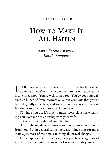#### CHAPTER FOUR

# **HOW TO MAKE IT ALL HAPPEN**

*Seven Surefire Ways to Kindle Romance*

It's 4:00 on a Sunday afternoon, and you've actually done it.<br>Cup in hand, you've staked your claim to a small table at the Tt's 4:00 on a Sunday afternoon, and you've actually done it. local coffee shop. You're well-armed too. You've got your calendar, a bunch of fresh information about your wife that you've been diligently collecting, and some brand-new research about fun things to do in your area. So far, so good.

OK, here you go. It's time to make those plans for enhancing your romantic relationship with your wife.

But what exactly should you plan for?

Ultimately any detailed answer to that question must come from you. But in general terms there are things that for most marriages, most of the time, can bring about real change.

This chapter contains the best, most practical suggestions I know of for fostering the growth of romance with your wife.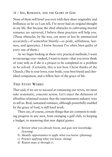None of them will bowl you over with their sheer originality and brilliance; as far as I can tell, I've never had an original thought in my life. But because the chief obstacles to cultivating marital romance are universal, I believe these practices will help you. (Those obstacles, by the way, can more or less be summarized accurately—if somewhat bluntly—as pride, selfishness, laziness, and ignorance. I know because I've often been guilty of every one of them.)

As we begin looking at these very practical methods, I want to encourage you—indeed, I want to insist—that you never think of your wife as if she is a project to be completed or a problem to be solved. (Certainly, this is not how Christ thinks of the Church.) She is your lover, your bride, your best friend and cherished companion, and a fellow heir of the grace of life.

# **THIS STUFF WORKS**

That said, if we are to succeed at romancing our wives, we must take systematic, concrete action. Let's reject the delusions of effortless relational ecstasy that the entertainment industry tries to sell us. Real, sustained romance, although powerfully enabled by the grace of God, is still hard work.

There are, of course, certain things that are common to making progress in any area, from swinging a golf club, to keeping a budget, to mastering that new digital gizmo.

- a) Review what you already know, and gain new knowledge. (learning)
- b) Identify opportunities to apply what you know. (planning)
- c) Practice applying what you know. (doing)
- d) Repeat steps a) through c).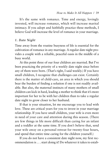It's the same with romance. Time and energy, lovingly invested, will increase romance, which will increase marital intimacy. If you adopt and faithfully practice these methods, I believe God will increase the level of romance in your marriage.

## *1. Date Night*

Time away from the routine busyness of life is essential for the cultivation of romance in any marriage. A regular date night provides a couple with a reliable, peaceful oasis in the middle of a busy world.

At this point three of our four children are married. But I've been practicing the priority of a weekly date night since before any of them were born. (That's right, I said weekly.) If you have small children, I recognize that challenges can exist. Certainly there is the matter of child-care, an area in which you should bear the burden of finding a solution if one is not readily available. But also, the maternal instincts of many mothers of small children can kick in hard, leading a mother to think that it's more important for her to be with her children than to take a regular date night to grow closer to her husband.

If that is your situation, let me encourage you to lead with love. These are critical years for you to invest in your marriage relationship. If you have small children, your wife is even more in need of your care and attention during this season. (There are few things in life more difficult than caring for an infant and a toddler at the same time. If you don't believe that, send your wife away on a personal retreat for twenty-four hours, and spend that entire time caring for the children yourself.)

If you do not have a consistent date night now, my first recommendation is . . . start doing it! Do whatever it takes to estab-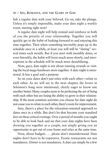lish a regular date with your beloved. Go on, take the plunge. Unless it's simply impossible, make your date night a weekly event, starting right now!

A regular date night will help remind and reinforce in both of you the priority of your relationship. Together you will quickly get in the habit of looking forward to and enjoying this time together. Then when something inevitably pops up in the schedule once in a while, at least you will still be "dating" several times each month. But if you start with monthly dates, or even biweekly, the habit will form much more slowly, and interruptions in the schedule will be much more destabilizing.

Now, guys, date night is not about running errands or visiting the local mega-hardware store together. A date night is intentional. It has a goal and a purpose.

So on your dates don't just relax with each other—relate to each other. As we will see in the next chapter, the lovers in Solomon's Song were intentional, clearly eager to know one another better. Many couples seem to be perfecting the art of being with each other but are losing the ability to grow in their relationship. If the most common activities you choose for date night do not cause you to relate to each other, there's room for improvement.

Sure, there's a place for the relaxation-oriented approach to dates once in a while. But don't let that become your standard fare on these critical evenings. Over a period of months you ought to be able to look back and see that your date nights have been drawing you together as a couple, not simply giving you an opportunity to get out of your home and relax at the same time.

Now, about budgets . . . please don't misunderstand. Date nights don't have to be expensive. Exotic restaurants are not mandatory. *Dinner* is not mandatory. A date can simply be a few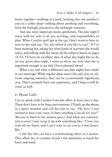hours together—walking in a park, looking into one another's eyes in a coffee shop—talking about anything and everything, from the boringly practical to the strikingly romantic.

And one more important point, gentlemen. The date night I eniov with my wife is my joy, privilege, and responsibility to plan. When Carolyn and I get in the car, I don't want to have to turn to her and say, "So, uh, where'd you like to eat?" If I've been studying her, asking her what kinds of activities she would enjoy, and talking with her about all the subjects listed on pages 32-33, I'll have an excellent idea of what she might like to do on any given date night. I want to show my wife that she is important enough to me that I have planned ahead.

What a joy and what a difference our date nights have made in our marriage! While regular dates aren't the only way to cultivate ongoing romance, they can be a consistently significant way. That's certainly been our experience, and I hope it will be yours as well.

## *2. Phone Calls*

I try to speak with Carolyn from the office at least once a day. These don't have to be long conversations. I'll pick up the phone in a spare moment and call her just to say, "Hi, love. I just wanted to hear your voice. Is there anything I can do for you?" (Be sure to listen to her answer, guys.) And when our conversation is over, I may wrap it up with something like, "I love you with all my heart, and I can't wait to see you in a few hours. Bye."

Calls like this can have a transforming effect on Carolyn. They allow me, in a matter of just a few moments, to touch her heart and mind.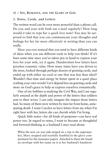## *3. Notes, Cards, and Letters*

The written word can be even more powerful than a phone call. Do you and your wife both use e-mail regularly? How long would it take to type her a quick love note? You may be surprised to find that you can communicate your thoughts and feelings for her far more effectively in writing than you can orally.

Have you ever noticed that you tend to have different kinds of ideas when you use different tools to help you think? If it's been some time since you've taken pen in hand to express your love for your wife, try it again. Handwritten love letters have priceless romantic value. How many times have you driven to the store, looked through perhaps dozens of greeting cards, and ended up with either no card or one that was less than ideal? Wouldn't that time and energy be better spent in a quiet place crafting your own words? Let's depend less on greeting cards and more on God's grace to help us express ourselves romantically.

One of my hobbies is studying the Civil War, and I am regularly amazed at the depth and power of the letters that soldiers sent to their wives. I can only imagine the impact those letters had. So many of them were written by men far from home, anticipating death. I want Carolyn to have letters from me when I'm right here with her, letters she can cherish while I'm living.

Quick little notes—for all kinds of purposes—can have real power too. In regard to notes, I want to become as thoughtful and forward-thinking as a husband I once read about:

When the new car was side-swiped on a trip to the supermarket, Mary stopped and tearfully fumbled in the glove compartment for the insurance papers. Attached to them she found an envelope with her name on it in her husband's handwrit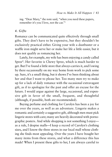ing. "Dear Mary," the note said, "when you need these papers, remember it's you I love, not the car."5

## *4. Gifts*

Romance can be communicated quite effectively through small gifts. They don't have to be expensive, but they shouldn't be exclusively practical either. Giving your wife a dustbuster or a waffle iron might serve her or make her life a little easier, but it does not qualify as romancing her.

Lately, for example, my wife has been enjoying a candy called Spree®. Her favorite is Chewy Spree, which is much harder to get. But I've found a little store that always carries it, and I swing by there occasionally on my way home from work to pick some up. Sure, it's a small thing, but it shows I've been thinking about her and that I want to please her. Too many men try to make up for a lack of daily romance with the occasional extravagant gift, as if to apologize for the past and offer an excuse for the future. I would argue against the large, occasional, and expensive gift in favor of the small, frequent, and thoughtful (although, if possible, both are recommended).

Buying perfume and clothing for Carolyn has been a joy for me over the years, as well as an adventure. Lingerie makes a romantic and certainly a suggestive gift, although men must pick lingerie stores with care; many are heavily decorated with pornographic posters. And while shopping is not something I enjoy as a rule, I despise malls—I keep a record of Carolyn's clothing sizes, and I know the three stores in our local mall whose clothing she finds most appealing. Over the years I have bought her many items from these stores, and what a difference this has made! When I present these gifts to her, I am always careful to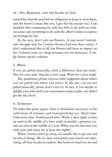remind her that she need feel no obligation to keep or wear them, and she knows I mean this (yes, I give her the receipt too). I am thankful that romancing my wife has little to do with my fashion sense and everything to do with the effort I make to express my feelings for her.

By the way, don't rule out flowers. At one point I mistakenly thought that for Carolyn flowers had run their course. I don't understand this at all, but flowers still have an impact on her. A dozen roses or a large bouquet are not necessary. A single flower speaks volumes.

## *5. Music*

If you are gifted musically, what a difference that can make. Play for your wife. Sing her a love song. Write her a love song!

But, gentlemen, please exercise sober judgment about where you are gifted and where you aren't. If, like me, you are not gifted musically, please don't even try. In fact, if you decide to delight your wife with your nonexistent musical gifts, you didn't get the idea here!

## *6. Getaways*

I'll make this point again: Time is absolutely necessary to the cultivation of romance and God-glorifying sex. Much time. Unhurried time. Undistracted time. While a date night creates an oasis in the middle of a busy week or month, a getaway creates an oasis in the middle of a year. When was the last time you took your wife away for at least two nights?

When Carolyn and I go away, we usually like to get out and do lots of things. We try new restaurants and search out interesting, off-beat locales to explore. But however much we see and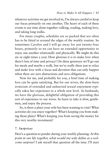whatever activities we get involved in, I'm always careful to keep our focus primarily on one another. The heart of each of these events is our time alone together: talking, reading, making love, and taking long walks.

For many couples, schedules are so packed that sex often has to be fitted in around the edges of the weekly routine. So sometimes Carolyn and I will go away for just twenty-four hours, primarily so we can have an extended opportunity to enjoy one another relationally and physically. We might do this six or eight times a year. How glorious it is to make love when there's lots of time and privacy! On these getaways we'll go out for meals and maybe a walk, but we're really there just to relax and make love with a focus and devotion that can only happen when there are zero distractions and zero obligations.

Now for me, and probably for you, a brief time of making love can be quite satisfying. But for our wives, the slow-burn eroticism of extended and unhurried sexual enjoyment typically takes her experience to a whole new level. As husbands, we have the glorious, delightful obligation of providing this sort of experience to our wives. So learn to take it slow, gentlemen, and enjoy the process.

So, is there a place your wife has been wanting to visit? What activities do you enjoy together? What's keeping you from making those plans? What's keeping you from saving the money for this very worthy investment?

## *7. Surprises*

Here's a question to ponder during your weekly planning: *At this point in our life together, what would my wife define as a welcome surprise?* I ask myself that question all the time. I'll start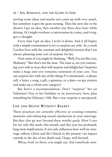writing some ideas and maybe not come up with very much, but somehow it gets the gears turning. Then the next day in the shower I get an idea, then another one three days later while driving. Or I might overhear a conversation in a store, and it triggers a thought.

Every time I get an idea, I write it down. And it all begins with a simple commitment to try to surprise my wife. As a result Carolyn lives with the constant and delightful tension that I am always planning some sort of surprise for her.

Now some of you might be thinking, "Well, I'm not like you, Mahaney." But that's not the issue. The issue is, are you romancing your wife in ways that will surprise and delight her? Surprises make a huge and very romantic statement of your care. You can surprise her with any of the things I've mentioned—a phone call, a letter, a song, a gift, a getaway, or a date—or get creative and make up a whole new category!

But here's a recommendation. Don't "surprise" her on Valentine's Day or her birthday or an anniversary. Sure, plan something for February 14th. But a true surprise is unexpected.

## **LIFE AND DEATH WITHOUT REGRET**

These practices are certainly effective at creating romantic moments and enhancing sexual satisfaction in your marriage. But they also go way beyond these worthy goals. How I care for my wife this week, this month, and this year has profound, long-term implications. It not only influences how well my marriage reflects Christ and the Church in the present—its impact extends to the day of my death and, I hope, well beyond.

*Whoa, hold on there*, you might say. *Did somebody men-*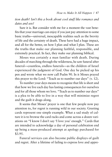*tion death? Isn't this a book about cool stuff like romance and dates and sex?*

Sure it is. But consider with me for a moment the vast benefits that your marriage can enjoy if you just pay attention to some basic truths—universal, inescapable realities such as the brevity of life and the certainty of death. These have had a huge impact, and all for the better, on how I plan and what I plan. These are the truths that make our planning faithful, responsible, and extremely practical. In fact, they make our planning biblical.

Moses was certainly a man familiar with death. During decades of marching through the wilderness, he saw funeral after funeral—countless, endless funerals—as the children of Israel experienced the judgment of God. One day he picked up his pen and wrote what we now call Psalm 90. In it Moses prayed this prayer to the Lord: "Teach us to number our days" (v. 12).

To number your days means to recognize that life is short and that how we live each day has lasting consequences for ourselves and for all those whom we love. "Teach us to number our days" is a plea to be able to live in a way that will minimize regret and the guilt it drags along.

It seems that Moses' prayer is one that few people now pay attention to, for regret is running wild in our society. Greeting cards represent one simple example. What a sad study of culture it is to browse the card racks and come across a dozen variations on "I know I don't say 'I love you' enough." Cards that are intended to acknowledge a day of personal celebration end up being a mass-produced attempt at apology purchased for \$3.95.

Funeral services can also become public displays of guilt and regret. After a lifetime of failing to express love and appre-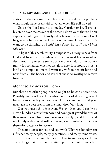ciation to the deceased, people come forward to say publicly what should have been said privately when life still flowed.

Unless the Lord returns, someday Carolyn or I will probably stand over the casket of the other. I don't want that to be an experience of regret. If Carolyn dies before me, although I will be grieving beyond what I can now imagine, I certainly don't want to be thinking, *I should have done this* or *If only I had said that*.

In light of this harsh reality, I purpose to ask forgiveness from God and from Carolyn whenever I sin against her in word or deed. And I try to seize some portion of each day as an opportunity for romance, whether it's all twenty-four hours or just a kind and simple moment. I want my wife to benefit here and now from all the honor and joy that she is so worthy to receive from me.

## **MOLDING TOMORROW TODAY**

But there are other people who ought to be considered too. Possibly many others. This whole matter of defeating regret has relevance far beyond your own life. Sex, romance, and your marriage are best seen from the long view. Very long.

Our youngest child is eleven. His children could easily be alive a hundred years from now and have great-grandchildren of their own. How I live, how I romance Carolyn, and how I lead my family today could still be having a substantial impact even then—for better or for worse.

The same is true for you and your wife. What we do today can influence many people, many generations, and many tomorrows.

I'm not one to accumulate stuff; I love to give away or throw away things that threaten to clutter up my life. But I have a box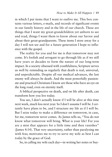in which I put items that I want to outlive me. This box contains various letters, e-mails, and records of significant events in our family history and in the life of our church. These are things that I want my great-grandchildren yet unborn to see and read, things I want them to know about our Savior and about their great-grandparents. These items I store away for a day I will not see and for a future generation I hope to influence with the gospel.

The reality for you and for me is that tomorrow may not come. It's foolish and arrogant to go through life as if we still have years or decades to form the nature of our long-term impact. In a society obsessed with youthfulness, Scripture serves us well by reminding us regularly that death is real, universal, and unpredictable. Despite all our medical advances, the last enemy will always be death. And the most powerfully passionate and practical Christians I know are those who have an eye on the long road, even on eternity itself.

A biblical perspective on death, and on life after death, can transform how you live today.

You see, I don't actually know if I will be alive at this time next week, much less next year. So I don't assume I will be. I certainly have plans to be, and I structure my life as if I will be. But I seize today to make a difference on tomorrow, in case, for me, tomorrow never comes. As James tells us, "You do not know what tomorrow will bring. What is your life? For you are a mist that appears for a little time and then vanishes" (James 4:14). That very uncertainty, rather than paralyzing me with fear, motivates me to try to serve my wife as best I can *today* by the grace of God.

So, in calling my wife each day—in writing her notes or buy-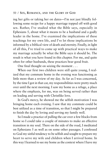ing her gifts or taking her on dates—I'm not just blindly following some recipe for a happy marriage topped off with good sex. Rather, I've studied what the Bible says, especially in Ephesians 5, about what it means to be a husband and a godly leader in the home. I've examined the implications of these teachings for my own life, and I've let those implications be informed by a biblical view of death and eternity. Finally, in light of all this, I've tried to come up with practical ways to make my marriage actually be what the Bible says it should be. The result is what you have found in this chapter. For me, and quite often for other husbands, these practices bear good fruit.

One final thought on seizing the moment . . .

When our first two children were still quite young, I realized that my commute home in the evening was functioning as little more than a review of my day. As far as I was concerned, by the time I got in that car, my responsibilities were pretty much over until the next morning. I saw my home as a refuge, a place where the emphasis, for me, was on being served rather than on leading and serving with Christlike love.

In God's mercy, he showed me the selfish motivation I was bringing home each evening. I saw that my commute could be best utilized as a time of transition, so that I might be prepared to finish the day by loving and serving my family well.

So I made a practice of pulling the car over a few blocks from home so I could take a couple of minutes to make an effective transition in my soul. There on the side of the road, I meditated on Ephesians 5 as well as on some other passages. I confessed to God my sinful tendency to be selfish and sought to prepare my heart to serve my wife and children when I arrived home. In this way I learned to see my home as the context where I have my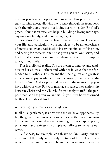greatest privilege and opportunity to serve. This practice had a transforming effect, allowing me to walk through the front door with the mind and heart of a loving servant-leader. By God's grace, I found it an excellent help in building a loving marriage, enjoying my family, and minimizing regret.

God doesn't want you to live or die with regrets. He wants your life, and particularly your marriage, to be an experience of increasing joy and satisfaction in serving him, glorifying him, and caring for those whom he has given you to love, serve, and lead. First among these, and far above all the rest in importance, is your wife.

This is a biblical reality. You are meant to find joy and gladness in her above all others and with her in ways that are forbidden to all others. This means that the highest and greatest interpersonal joy available to you personally has been established by God. And its potential resides in the relationship you have with your wife. For your marriage to reflect the relationship between Christ and the Church, for you truly to fulfill the purpose that God has given you in this life, you must be transformed by this clear, biblical truth.

# **A FE W POINTS TO KEEP IN MIND**

In all this, gentlemen, it's obvious that we have opponents. By far, the greatest and most serious of these is the sin in our own hearts. As I mentioned at the beginning of this chapter, pride, selfishness, and laziness can cripple our efforts to romance our wives.

Selfishness, for example, can thrive on familiarity. But we must not let the daily and weekly routines of life dull our marriages or breed indifference. The marvelous security we enjoy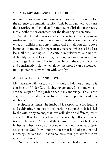within the covenant commitment of marriage is no excuse for the absence of romantic passion. This book can help you turn that security, so often taken for granted in Christian marriages, into a hothouse environment for the flowering of romance.

And don't think this is some kind of airtight, planned-downto-the-minute program that elbows out the spontaneous. My wife, my children, and my friends will all tell you that I love being spontaneous. It's part of my nature, whereas I had to learn all the planning stuff. A certain impulsiveness and unpredictability can add lots of fun, passion, and great memories to a marriage. It certainly has for mine. In fact, the more diligently and consistently I plan when alone, the more I can be wonderfully spontaneous when I'm with Carolyn.

# **ABOVE ALL, LEAD AND LOVE**

My marriage will not grow as it should if I do not attend to it consistently. Under God's loving sovereignty, I—not my wife am the keeper of the garden that is my marriage. This is the very heart of what it means to be the God-appointed leader in my home.

Scripture is clear: The husband is responsible for leading and cultivating romance in the marital relationship. If it is led by the wife, or by no one, that love will take on a different, lesser character. It will not be a love that accurately reflects the relationship between Christ and the Church. It will not be God's highest and best for you as a couple. It will not bring appropriate glory to God. It will not produce that kind of passion and intimacy reserved for Christian couples seeking to live for God's glory in all things.

Don't let this happen in your marriage. Or if it has already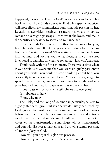happened, it's not too late. By God's grace, you can fix it. This book tells you how. Study your wife. Find what specific practices will most effectively communicate your romantic passion for her. Locations, activities, settings, restaurants, vacation spots, romantic overnight getaways—learn what she loves, and make the sacrifices necessary to serve and romance her.

If the methods I've described in this chapter work for you, fine. I hope they will. But if not, you certainly don't have to emulate them. Create your own! What matters is that you are learning, leading, and loving your wife. Because if you are not intentional in planning for creative romance, it just won't happen.

Think back with me for a moment. There was a time when it was obvious to everyone that you were uniquely passionate about your wife. You couldn't stop thinking about her. You constantly talked about her and to her. You were always eager to spend time with her, going out of your way to delight and surprise her, and you regularly spent serious money on her.

Is your passion for your wife still obvious to everyone?

Is it obvious to her?

If not, why not?

The Bible, and the Song of Solomon in particular, calls us to a godly standard, guys. But it's one we definitely can reach by God's grace. We must touch the hearts and minds of our wives before we touch their bodies. And as our words and actions touch their hearts and minds, much will be transformed. Our wives will be transformed, our marriages will be transformed, and you will discover a marvelous and growing sexual passion, all for the glory of God.

How will you begin this glorious process? How will you touch your wife's heart and mind?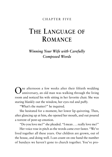#### CHAPTER FIVE

# **THE LANGUAGE OF ROMANCE**

*Winning Your Wife with Carefully Composed Words*

One afternoon a few weeks after their fiftieth wedding anniversary, an old man was walking through the living room and noticed his wife sitting in her favorite chair. She was staring blankly out the window, her eyes red and puffy.

"What's the matter?" he inquired.

She hesitated for a moment, her lower lip quivering. Then, after glancing up at him, she opened her mouth, and out poured a torrent of pent-up emotion.

"Do you love me?" she pleaded. "I mean . . . really love me?" Her voice rose in pitch as the words came ever faster. "We've lived together all these years. Our children are grown, out of the house, and doing well. I can count on one hand the number of Sundays we haven't gone to church together. You've pro-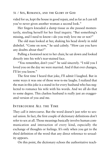vided for us, kept the house in good repair, and as far as I can tell you've never given another woman a second look."

Her fingers kneaded a damp tissue as she paused momentarily, steeling herself for her final inquiry. "But something's missing, and I need to know—do you truly love me or not?"

The old man looked at her, shaking his head slowly in mild disbelief. "Come on now," he said calmly. "How can you have any doubts about that?"

Pulling a footstool next to her chair, he sat down and looked directly into his wife's tear-stained face.

"You remember, don't you?" he said sincerely. "I told you I loved you on the day we were married. And if that ever changes, I'll let you know."

The first time I heard that joke, I'll admit I laughed. But in some ways it was one of those woe-is-me laughs. I realized that the man in this joke is a stand-in for every husband who has neglected to romance his wife with his words. And we all do that to some degree. This clueless husband is really just an exaggerated version of you and me.

# **INTERCOURSE ALL THE TIME**

They call it *intercourse*. But the word doesn't just refer to sexual union. In fact, the first couple of dictionary definitions don't refer to sex at all. Those meanings basically involve human communication and interaction of every kind, especially the exchange of thoughts or feelings. It's only when you get to the third definition of the word that any direct reference to sexuality appears.

On this point, the dictionary echoes the authoritative teach-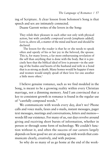ing of Scripture. A clear lesson from Solomon's Song is that speech and sex are intimately connected.

Duane Garrett writes of the lovers in the Song:

They relish their pleasure in each other not only with physical action, but with *carefully composed words* [emphasis added]. Love is, above all, a matter of the mind and heart and should be declared.

The lesson for the reader is that he or she needs to speak often and openly of his or her joy in the beloved, the spouse. This is, for many lovers, a far more embarrassing revelation of the self than anything that is done with the body. But it is precisely here that the biblical ideal of love is present—in the uniting of the bodies and hearts of the husband and wife in a bond that is as strong as death. Many homes would be happier if men and women would simply *speak* of their love for one another a little more often.<sup>6</sup>

I believe genuine romance, such as we find modeled in the Song, is meant to be a growing reality within every Christian marriage, not a dimming memory. And I am convinced that a key to consistent growth in romance is found in the regular use of "carefully composed words."

We communicate with words every day, don't we? Phone calls and voice mails, faxes and e-mails, instant messages, pager text messages, meetings and conversations, letters and memos words fill our existence. For many of us, our days revolve around giving and receiving short bursts of information, whether in person or through some form of technology. We couldn't function without it, and often the success of our careers largely depends on how good we are at coming up with words that communicate clearly, creatively, and with purpose.

So why do so many of us go home at the end of the work-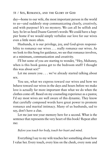day—home to our wife, the most important person in the world to us—and suddenly stop communicating clearly, creatively, and with purpose? It's no mystery. We can all be selfish and lazy. So let us heed Duane Garrett's words: We could have a happier home if we would simply verbalize our love for our wives even a little more often.

Husbands, it is our privilege, joy, and God-given responsibility to romance our wives . . . really romance our wives. As we look to this Song for guidance, we see that romance involves, at a minimum, communication and creativity.

I'll bet some of you are starting to wonder, "Hey, Mahaney, when is this book gonna get to the bedroom stuff? I thought this was about sex!"

Let me assure you . . . we've already started talking about sex.

You see, what we express toward our wives and how we behave toward our wives in the days and hours before we make love is actually far more important than what we do when the clothes come off. Based on my counseling experience as a pastor, I'd say most wives are well aware of this dynamic. They know that carefully composed words have great power to promote romance and marital intimacy. Many of us husbands, sad to say, don't have a clue.

Let me just test your memory here for a second. What is the sentence that represents the very heart of this book? Repeat after me:

## *Before you touch her body, touch her heart and mind.*

Everything I say to my wife teaches her something about how I value her. Every touch, every kiss on the cheek, every note and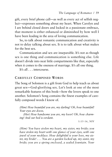gift, every brief phone call—as well as every act of selfish neglect—expresses something about my heart. When Carolyn and I are behind closed doors and locked in a passionate embrace, that moment is either enhanced or diminished by how well I have been leading in the area of loving communication.

So, to talk about romantic communication and creativity is not to delay talking about sex. It is to talk about what makes for the best sex.

Communication and sex are inseparable. It's not as though sex is one thing and communication is something else. Life doesn't divide into neat little compartments like that, especially when it comes to the oneness of marriage. It's all one thing.

It's all . . . intercourse.

## **CAREFULLY COMPOSED WORDS**

The Song of Solomon is a gift from God to help teach us about great sex—God-glorifying sex. Let's look at one of the most remarkable features of this book—how the lovers speak to one another. Solomon's Song contains the finest examples of carefully composed words I know of.

*(Him) How beautiful you are, my darling! Oh, how beautiful! Your eyes are doves.*

*(Her) How handsome you are, my lover! Oh, how charming! And our bed is verdant.*

1:15-16, NIV

*(Him) You have stolen my heart, my sister, my bride; you have stolen my heart with one glance of your eyes, with one jewel of your necklace. How delightful is your love, my sister, my bride! . . . You are a garden locked up, my sister, my bride; you are a spring enclosed, a sealed fountain. Your*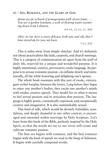*plants are an orchard of pomegranates with choice fruits. . . . You are a garden fountain, a well of flowing water streaming down from Lebanon.*

4:9-10, 12-13, 15, NIV

*(Her) At our door is every delicacy, both new and old, that I have stored up for you, my lover.*

7:13, NIV

This is miles away from simple chitchat. And it's definitely not about practicalities like kids, carpools, and church meetings. This is a category of communication set apart from the stuff of daily life, reserved for a unique and wonderful purpose. It is highly intentional, creative, provocative, erotic language. Its purpose is to arouse romantic passion—to inflame slowly and intentionally, all the while honoring and delighting one's spouse.

The whole book resonates with this sort of exotic, extravagant verbal foreplay between the lovers. Long before they begin to enjoy one another's bodies, they excite one another's minds with tender, creative speech. They model for us what it means to feel sexual passion and to articulate that passion. The language is highly poetic, romantically expressed, and exceptionally creative and imaginative. It is also unmistakably sexual.

This kind of talk, which would be divinely forbidden, scandalous, and deeply shameful in any other context, is encouraged and esteemed within marriage by Holy Scripture. Let's learn from this book of the Bible, perfectly inspired by the Holy Spirit, so that the words we say to our wives will create and cultivate romantic passion.

The best sex begins with romance, and the best romance begins with the kind of speech we read in the Song of Solomon. It begins with carefully composed words.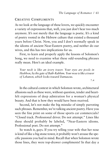## **CREATIVE COMPLIMENTS**

As we look at the language of these lovers, we quickly encounter a variety of expressions that, well, you just don't hear too much anymore. It's not merely that the language is poetic. It's a kind of poetry rooted in the Hebrew culture that existed a thousand years before Christ. Now, you and I don't normally speak in the idioms of ancient Near-Eastern poetry, and neither do our wives, and this has two implications for us.

First, to learn and properly apply the lessons of Solomon's Song, we need to examine what these odd-sounding phrases really mean. Here's an ideal example.

*Your neck is like an ivory tower. Your eyes are pools in Heshbon, by the gate of Bath-Rabbim. Your nose is like a tower of Lebanon, which looks toward Damascus.*

7:4

In the cultural context in which Solomon wrote, architectural allusions such as these were, without question, tender and heartfelt expressions of deep admiration for a woman's physical beauty. And that is how they would have been received.

Second, let's not make the big mistake of simply parroting such phrases. Remember, we're talking ancient poetry. Have you seen the fine print on some of those sports car commercials? "Closed track. Professional driver. Do not attempt." Lines like these should probably be labeled, "Near-Eastern idioms. Professional poet. Do not attempt."

So watch it, guys. If you try telling your wife that her nose is kind of like a big stone tower, it probably won't arouse the specific passions you had in mind. Recall that when Solomon wrote those lines, they were top-drawer compliments! In that day a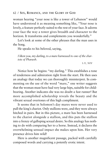woman hearing "your nose is like a tower of Lebanon" would have understood it as meaning something like, "Your nose is lovely, a feature perfectly suited to the rest of your face. It adorns your face the way a tower gives breadth and character to the horizon. It transforms and complements you wonderfully."

Let's look at some of the other phrases that the man uses in the Song.

He speaks to his beloved, saying,

*I liken you, my darling, to a mare harnessed to one of the chariots of Pharaoh.*

1:9, NIV

Notice how he begins: "my darling." This establishes a tone of tenderness and admiration right from the start. He then uses an analogy that today we can thoroughly misinterpret. In commenting on the use of the word "mare," one writer suggests that the woman must have had very large hips, suitable for childbearing. Another indicates she was no doubt a fast runner! But more accomplished scholarship reveals the beauty and the vibrant sexual overtones of this high compliment.

It seems that in Solomon's day mares were never used to pull the king's chariot. Only stallions were, and they were always hitched in pairs. But in this picture, a mare has been harnessed to the chariot alongside a stallion, and this puts the stallion into a frenzy of galloping sexual desire. So this analogy has nothing to do with comparing her to a horse. Instead, it declares the overwhelming sensual impact she makes upon him. Her very presence drives him wild!

Here is another magnificent passage, packed with carefully composed words and carrying a potently erotic intent.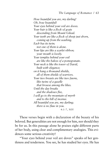*How beautiful you are, my darling! Oh, how beautiful! Your eyes behind your veil are doves. Your hair is like a flock of goats descending from Mount Gilead. Your teeth are like a flock of sheep just shorn, coming up from the washing. Each has its twin; not one of them is alone. Your lips are like a scarlet ribbon; your mouth is lovely. Your temples behind your veil are like the halves of a pomegranate. Your neck is like the tower of David, built with elegance; on it hang a thousand shields, all of them shields of warriors. Your two breasts are like two fawns, like twins of a gazelle that browse among the lilies. Until the day breaks and the shadows flee, I will go to the mountain of myrrh and to the hill of incense. All beautiful you are, my darling; there is no flaw in you.* 4:1-7, NIV

These verses begin with a declaration of the beauty of his beloved. But generalities are not enough for him, nor should they be for us. In this passage alone he praises eight different parts of her body, using clear and complimentary analogies. This evidences some serious creativity!

"Your *eyes* behind your veil are doves" speaks of her gentleness and tenderness. You see, he has studied her eyes. He has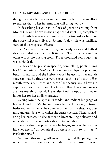thought about what he sees in them. And he has made an effort to express that to her in terms that will bring her joy.

In describing her *hair* as "a flock of goats descending from Mount Gilead," he evokes the image of a distant hill, completely covered with black-wooled goats moving toward its base; so the entire hill seems alive. In Solomon's day, this was thrilling, state-of-the-art special effects!

Her *teeth* are white and fresh, like newly shorn and bathed sheep that glisten in the sun. Better yet, "Each has its twin." In other words, no missing teeth! Three thousand years ago that was a big deal.

He goes on to praise in specific, compelling, poetic terms her *lips*, *mouth*, and *temples*. He compares her lips to a precious, beautiful fabric, and the Hebrew word he uses for her mouth suggests that he finds her very speech a thing of beauty. Her mouth reveals her heart, and part of her beauty lies in how she expresses herself. Take careful note, men, that these compliments are not merely physical. He is also finding opportunities to honor her for her godly character.

Gazing lower, he speaks in tender and radiant language of her *neck* and *breasts*. In comparing her neck to a royal tower bedecked with shields, he commends her for the elegance, dignity, and grandeur with which she carries herself. Then, considering her breasts, he declares with breathtaking delicacy and understatement his unmistakably erotic intentions.

He ends this love poem where he began, assuring her that in his eyes she is "all beautiful . . . there is no flaw in [her]." Perfection itself.

And note this well, gentlemen: Throughout the passages in which one lover describes the body of the other—for, as we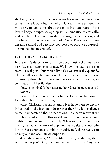shall see, the woman also compliments her man in no uncertain terms—there is both beauty and brilliance. In these phrases the most private emotions about the most intimate parts of the lover's body are expressed appropriately, romantically, erotically, and tastefully. There is no medical language, no crudeness, and no obscenity anywhere in the book. None. Every word is tender and sensual and carefully composed to produce appropriate and passionate arousal.

#### **INTENTIONAL EXAGGERATION**

In the man's description of his beloved, notice that we have very few clear statements of fact. We know she had no missing teeth—a real plus—but there's little else we can really quantify. The overall description we have of this woman is filtered almost exclusively through the man's impressions of her. He even goes so far as to call her flawless.

Now, is he lying? Is he flattering her? Does he need glasses? Not at all.

He is not describing so much what she looks like, but how he feels about her. There is a huge difference.

Many Christian husbands and wives have been so deeply influenced by the fashion industry that they find it a challenge to really understand these descriptions. To a certain extent we have been conformed to this world, and that compromises our ability to understand truth clearly. When we read these statements, we make the error of applying them culturally, not biblically. But as romance is biblically cultivated, these really can be very apt and accurate descriptions.

When the man says, "All beautiful you are, my darling; there is no flaw in you" (4:7, NIV), and when he calls her, "my per-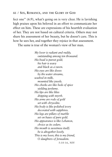fect one" (6:9), what's going on is very clear. He is lavishing high praises upon his beloved in an effort to communicate her effect on him. These are expressions of his heartfelt evaluation of her. They are not based on cultural criteria. Others may not share his assessment of her beauty, but he doesn't care. This is how he sees her, and together they rejoice in that assessment.

The same is true of the woman's view of her man.

*My lover is radiant and ruddy, outstanding among ten thousand. His head is purest gold; his hair is wavy and black as a raven. His eyes are like doves by the water streams, washed in milk, mounted like jewels. His cheeks are like beds of spice yielding perfume. His lips are like lilies dripping with myrrh. His arms are rods of gold set with chrysolite. His body is like polished ivory decorated with sapphires. His legs are pillars of marble set on bases of pure gold. His appearance is like Lebanon, choice as its cedars. His mouth is sweetness itself; he is altogether lovely. This is my lover, this is my friend, O daughters of Jerusalem.* 5:10-16, NIV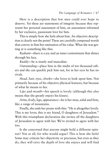Here is a description that few men could ever hope to deserve. Yet these are statements of integrity because they represent her personal assessment of him, an assessment informed by her exclusive, passionate love for him.

This is simply how she feels about him. An objective description is clearly not the point! These are carefully composed words that convey to him her estimation of his value. What she was getting at is something like this:

*Radiant*—there is a joy and an inner contentment that shines through his face.

*Ruddy*—he is manly and masculine.

*Outstanding*—place him in the midst of ten thousand others and she can quickly pick him out, for in her eyes he has no rivals.

*Head, hair, eyes*, *cheeks*—she loves to look upon him. Not primarily because of his objective physical features, but because of what he means to her.

*Lips* and *mouth*—his speech is lovely (although this also means that she greatly enjoys his kisses).

*Arms*, *body*, *legs*, *appearance*—he is her man, solid and firm, like a range of mountains.

Finally, she ends her praise with this: "He is altogether lovely. This is my lover, this is my friend, O daughters of Jerusalem." With this triumphant declaration she invites all the daughters of Jerusalem to agree with her. We're invited to agree with her too.

Is she concerned that anyone might hold a different opinion? Not at all, for who would argue? This is how she feels! Some may criticize her objectivity or precision, but even as they do, they will envy the depth of love she enjoys and will find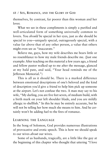themselves, by contrast, far poorer than this woman and her lover.

What we see in these compliments is simply a purified and well-articulated form of something universally common to lovers. You *should* be special in her eyes, just as she should be special to you—uniquely special, outrageously special, with a value far above that of any other person, a value that others might even see as "inaccurate."

Believe me, guys, how my wife describes me bears little or no resemblance to how my male friends describe me. (Just one example: After teaching on this material a few years ago, a friend and fellow pastor walked up to me after the message, glanced at my bald pate, and said, "Your head reminds me of the Jefferson Memorial.")

This is all as it should be. There is a marked difference between emotional descriptions of one's beloved and the kind of description you'd give a friend to help him pick up someone at the airport. Let's not confuse the two. A man may say to his wife, "My darling, you are five feet seven, of medium build, with a birth mark on your left shoulder blade, and you are mildly allergic to shellfish." In this he may be entirely accurate, but he will not be telling her how much she means to him. And he certainly won't be adding fuel to the fires of romance.

## **LEARNING THE LANGUAGE**

In the Song of Solomon, God provides numerous illustrations of provocative and erotic speech. This is how we should speak *to* our wives *about* our wives.

Some of us husbands, tragically, are a little like the guy at the beginning of this chapter who thought that uttering "I love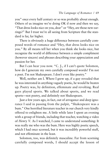you" once every half century or so was probably about enough. Others of us imagine we're doing OK if now and then we say, "That dress looks nice on you, dear" or "Hey, are those new earrings?" But I trust we're all seeing from Scripture that the standard is far, far higher.

There is obviously a huge difference between carefully composed words of romance and "Hey, that dress looks nice on you." By all means tell her when you think she looks nice, but recognize the world of difference between a simple compliment (however sincere) and phrases describing your appreciation and passion for her.

But I can hear you now. "C. J., if I can't quote Solomon, how do I generate my own carefully composed words? I'm not a poet. I'm not Shakespeare. I don't even like poetry."

Well, neither am I. Where I grew up, if a guy revealed that he was interested in anything vaguely poetic, he would be beaten up. Poetry was, by definition, effeminate and revolting. Real guys played sports. We talked about sports, and we read sports—not poetry, and definitely not Shakespeare.

Just a few years ago, in fact, out of arrogance and deep ignorance I said in passing from the pulpit, "Shakespeare was a bum." One horrified literature teacher in our church very kindly offered to enlighten me. A little while later I spent an evening with a group of friends, including that teacher, watching a video of *Henry V*. As I watched, I came to understand something: It was really me who was the bum. Here was highly poetic speech, which I had once scorned, but it was incredibly powerful stuff, and not effeminate in the least.

Solomon, too, was definitely masculine. Far from scorning carefully composed words, I should accept the lesson of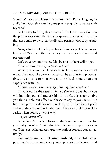Solomon's Song and learn how to use them. Poetic language is a gift from God that can help me promote godly romance with my wife!

So let's try to bring this home a little. How many times in the past week or month have you spoken to your wife in ways that she found to be romantically and perhaps erotically arousing?

Now, what would hold you back from doing this on a regular basis? What are the issues in your own heart that would prevent you?

Let's try a few on for size. Maybe one of them will fit you. *"I'm not sure it really matters to her."*

Wrong. Remember: Thanks be to God, our wives aren't wired like men. The spoken word can be as alluring, provocative, and enticing to your wife as any visual stimulation you experience with her.

*"I don't think I can come up with anything creative."*

It might not be the easiest thing you've ever done. But if you will humble yourself and ask him for it, God is eager to give you that simple but effective phrase to say to your wife. The first such phrase will begin to break down the barriers of pride and self-absorption that hinder you. The second phrase will be easier. Then you're on your way.

*"It just seems silly."*

But it doesn't have to. Discover what's genuine and works for you and your wife. Again, don't let the poetry aspect turn you off. What sort of language appeals to both of you and comes naturally?

God wants you, as a Christian husband, to carefully compose words that communicate your appreciation, affections, and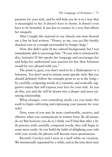passions for your wife, and he will help you do it in a way that is meaningful to her. It doesn't have to rhyme. It doesn't even have to be beautiful. It just has to connect in a way that affects her uniquely.

After I taught this material in our church, one man showed me a line he had written: "Honey, to me, you are like freshly shucked corn in a trough surrounded by hungry hogs."

Now, this didn't quite fit my cultural background, but I was immediately able to encourage him. "If your wife is romanced by this, fantastic! If this speaks her language and encourages her and helps her understand your passion for her, then Solomon would be very pleased with you."

The point is, guys, you don't need to be a Shakespeare or a Solomon. You don't need to imitate some specific style. But you should definitely follow the example given to us in the Song by carefully composing words of a romantic and erotically suggestive nature that will express your love for your wife. As you do this, you and she will be drawn into a deeper and more satisfying relationship.

What changes, even something small, can you make *this week* to begin cultivating and expressing your passion for your wife?

Now, some of you may be more comfortable, creative, and effective when you communicate in written form. By all means, do so! But however you do it, I think you'll find that after a little practice with carefully composed words, they will begin to come more easily. As you build the habit of delighting your wife with your words, the phrases will become more spontaneous.

Recently Carolyn and I were in a mall while on vacation. We intentionally separated for a while, and as the time drew near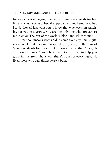for us to meet up again, I began searching the crowds for her. Finally I caught sight of her. She approached, and I embraced her. I said, "Love, I just want you to know that whenever I'm searching for you in a crowd, you are the only one who appears to me in color. The rest of the world is black-and-white to me."

These spontaneous words didn't come from any unique gifting in me. I think they were inspired by my study of the Song of Solomon. Words like these are far more effective than "Hey, uh . . . you look nice." So believe me, God is eager to help you grow in this area. That's why there's hope for every husband. Even those who call Shakespeare a bum.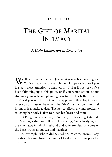#### CHAPTER SIX

# **THE GIFT OF MARITAL INTIMACY**

*A Holy Immersion in Erotic Joy*

Well here it is, gentlemen. Just what you've been waiting for. You've made it to the sex chapter. I hope each one of you has paid close attention to chapters 1—5. But if not—if you've been skimming up to this point, or if you're not serious about studying your wife and planning how to love her better—please don't kid yourself. If you take that approach, this chapter can't offer you any lasting benefits. The Bible's instruction in marital intimacy is a package deal. The key to effectively and erotically touching her body is first to touch her heart and mind.

But I'm going to assume you're ready . . . So let's get started.

Marriages that are full of rich, exciting, God-glorifying sex are marriages in which husband and wife are clear on some of the basic truths about sex and marriage.

For example, where did sexual desire come from? Easy question. It came from the mind of God as part of his plan for creation.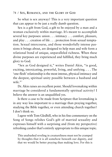So what is sex anyway? This is a very important question that can appear to be just a really dumb question.

Sex is a gift from God, a gift to be enjoyed by a man and a woman exclusively within marriage. It's meant to accomplish several key purposes: union . . . intimacy . . . comfort, pleasure, and play . . . creation of life . . . protection from sexual temptation. Sexual intercourse, and those wonderfully intense passions it brings about, are designed to help man and wife form a relational bond of unique, unparalleled richness. When these divine purposes are experienced and fulfilled, they bring much glory to God.

"Sex as God designed it," writes Daniel Akin, "is good, exciting, intoxicating, powerful, living, and unifying. . . . The 'one-flesh' relationship is the most intense, physical intimacy and the deepest, spiritual unity possible between a husband and wife."7

Dr. Akin raises an excellent point. Should lovemaking within marriage be considered a fundamentally spiritual activity? I believe the answer is an unqualified yes.

Is there a case to be made from Scripture that lovemaking is in any way less important to a marriage than praying together, studying the Bible together, or even attending church together? I don't think so.

I agree with Tom Gledhill, who in his fine commentary on the Song of Songs relishes God's gift of married sexuality and expresses himself with a surprising and (from my perspective) refreshing candor that's entirely appropriate to this unique topic.

This unabashed reveling in creatureliness must not be cramped by thoughts that it is all somehow beneath our dignity, and that we would be better praying than making love. For this is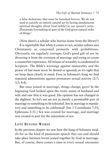a false dichotomy that must be banished forever. We do not need to sanctify an entirely natural act by having simultaneous spiritual thoughts about God [while] in our spouse's arms. [Passionate lovemaking is] part of the God-given natural order of things.<sup>8</sup>

(Now there's a scholar who hurries home from the library!) It is regrettable that when it comes to sex, secular culture sees Christianity as concerned primarily with prohibitions. Obviously, sin regularly corrupts God's good gift of sex by divorcing it from the covenant of marriage and trying to create a counterfeit experience. All misuse of sexuality is condemned in Scripture. The Bible's warnings against immorality and the power of lust must never be denied or ignored; so it's right that we keep them clearly in mind. Even in Solomon's Song we find repeated admonitions against premature sexual activity (2:7; 3:5; 8:4).

But once joined in marriage, things change, guys! In the beginning God looked upon the erotic union of husband and wife and saw that it was good. His opinion has not changed in the slightest. So let's not see sex as merely a *permissible* part of marriage or something to be tolerated. Sex in marriage is *mandatory* and something to be celebrated! (See 1 Corinthians 7:35; Ephesians 5:31.) Sex was created for marriage, and marriage was created in part for the enjoyment of sex.

## **LOVE BEYOND WORDS**

In the previous chapter we saw how the Song of Solomon models for us the kind of passionate speech that can and should take place between lovers joined together by God in marriage. But, of course, there comes a time in every sexual encounter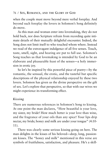when the couple must move beyond mere verbal foreplay. And beyond such foreplay the lovers in Solomon's Song definitely do move.

As this man and woman enter into lovemaking, they do not hold back, nor does Scripture refrain from recording quite intimate details of their mutually delightful encounter. Indeed, the Song does not limit itself to who touched whom where. Instead we read of the extravagant indulgence of all five senses. Touch, taste, smell, sight, and hearing are put to full use. Solomon's Song teaches us that lovemaking is intended by God to be an elaborate and pleasurable feast of the senses—a holy immersion in erotic joy.

So let's be inspired by this powerful piece of poetry—by the romantic, the sensual, the erotic, and the tasteful but specific descriptions of the physical relationship enjoyed by these two lovers. Solomon has given us the divine perspective on the gift of sex. Let's explore that perspective, so that with our wives we might experience its transforming effect.

## *Kissing*

There are numerous references in Solomon's Song to kissing. At one point the man declares, "How beautiful is your love, my sister, my bride! How much better is your love than wine, and the fragrance of your oils than any spice! Your lips drip nectar, my bride; honey and milk are under your tongue" (4:10- 11).

There was clearly some serious kissing going on here. The man delights in the kisses of his beloved—deep, long, passionate kisses. The "honey and milk" mentioned in this verse are symbols of fruitfulness, satisfaction, and pleasure. He's a skill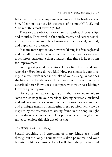ful kisser too; so the enjoyment is mutual. His bride says of him, "Let him kiss me with the kisses of his mouth" (1:2), and "His mouth is most sweet" (5:16).

These two are obviously very familiar with each other's lips and mouths. They revel in the touch, tastes, and scents associated with their kissing. Their kissing is erotic, sensual, enjoyed, and apparently prolonged.

In many marriages today, however, kissing is often neglected and can all too easily become routine. If your kisses rarely get much more passionate than a handshake, there is huge room for improvement.

So I suggest you take inventory. How often do you and your wife kiss? How long do you kiss? How passionate is your kissing? Ask your wife what she thinks of your kissing. What does she like or dislike about it? How does it compare with what is described here? How does it compare with your past kissing? How can you improve?

Don't assume that kissing is a thrill that belonged mainly to some earlier stage in your marriage. Kissing between a husband and wife is a unique expression of their passion for one another and a unique means of cultivating fresh passion. May we be inspired by the references to kissing found in the Song. In light of this divine encouragement, let's purpose never to neglect but rather to explore this rich gift of kissing.

## *Touching and Caressing*

Sexual touching and caressing of many kinds are found throughout the Song. "Your stature is like a palm tree, and your breasts are like its clusters. I say I will climb the palm tree and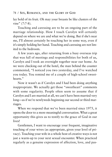lay hold of its fruit. Oh may your breasts be like clusters of the vine" (7:7-8).

Touching and caressing are to be an ongoing part of the marriage relationship. How I touch Carolyn will certainly depend on where we are and what we're doing. But if she's near me, I'll almost certainly be touching her in some way, even if it's simply holding her hand. Touching and caressing are not limited to the bedroom.

A few years ago, after returning from a busy overseas trip that was full of meetings and responsibilities for both of us, Carolyn and I took an overnight together near our home. As we were checking out of the hotel, the man behind the counter commented, "I noticed you two yesterday, and I've watched you today. You remind me of a couple of high-school sweethearts<sup>"</sup>

Now it wasn't as if Carolyn and I had been doing anything inappropriate. We actually get those "sweetheart" comments with some regularity. People often seem to assume that if Carolyn and I are married at all, we can't have been married very long—as if we're newlyweds beginning our second or third marriages.

When we respond that we've been married since 1975, it opens the door to a more meaningful conversation. What a great opportunity this gives us to testify to the grace of God in our lives!

Gentlemen, I want to encourage your frequent, imaginative touching of your wives (as appropriate, given your level of privacy). Touching your wife in a whole host of creative ways is not just a warm-up to your next sexual encounter. When practiced regularly as a genuine expression of affection, love, and pas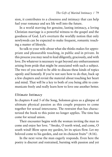sion, it contributes to a closeness and intimacy that can help fuel your romance and sex life well into the future.

In a world starving for genuine, lasting intimacy, a loving Christian marriage is a powerful witness to the gospel and the goodness of God. Let's overturn the worldly notion that only newlyweds can be expected to make frequent, romantic touching a matter of lifestyle.

So talk to your wife about what she thinks makes for appropriate and pleasurable touching, in public and in private. In this process you may need to lead diligently, graciously, and with love. Do whatever is necessary to get beyond any embarrassment arising from pride that might be associated with such a subject. The two of you need to be able to discuss these kinds of topics openly and honestly. If you're not sure how to do that, back up a few chapters and revisit the material about touching her heart and mind. That will be a key to both of you being able to communicate freely and really learn how to love one another better.

#### *Ultimate Intimacy*

In chapters 4 and 5 of the Song, Solomon gives us a glimpse of ultimate physical passion as this couple prepares to come together for sexual intercourse. The restraint that has characterized the book to this point no longer applies. The time has come for sexual union.

Their encounter begins with the woman inviting the man to come and enjoy her love. "Awake, O north wind, and come, O south wind! Blow upon my garden, let its spices flow. Let my beloved come to his garden, and eat its choicest fruits" (4:16).

In the next verse the man eagerly responds. Even here the poetry is discreet and restrained, bursting with passion and yet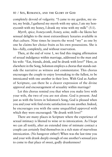completely devoid of vulgarity. "I came to my garden, my sister, my bride, I gathered my myrrh with my spice, I ate my honeycomb with my honey, I drank my wine with my milk" (5:1).

*Myrrh, spice, honeycomb, honey, wine, milk*—he likens her sensual delights to the most extraordinary luxuries available in that culture. Nine times he inserts the word "my" as one by one he claims her choice fruits as his own possessions. She is his—fully, completely, and without reservation.

Then, at the end of verse 1, we find this ringing affirmation of sexual indulgence within marriage, addressed to the man and his wife: "Eat, friends, drink, and be drunk with love!" Here, as elsewhere in the Song, Solomon employs a chorus that stands outside the narrative as witness and commentator. This chorus encourages the couple to enjoy lovemaking to the fullest, to be intoxicated with one another in their love. With God as Author of Scripture, can there be a clearer expression of the divine approval and encouragement of sexuality within marriage?

Let this chorus remind you that when you make love with your wife, the two of you are not alone. God is present. And just as with the lovers in Solomon's Song, God is pleased when you and your wife find erotic satisfaction in one another. Indeed, he encourages you with the same unqualified approval with which they were encouraged: "Be drunk with love!"

There are many places in Scripture where the experience of sexual intimacy is likened to wine or to intoxication. As I hope we can all testify, after an extended time of intimate contact a couple can certainly find themselves in a rich state of marvelous intoxication. (No hangover either!) When was the last time you and your wife drank deeply enough of one another's sensual joys to come to that place of sweet, godly drunkenness?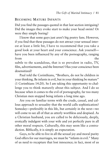## **BECOMING MATURE INFANTS**

Did you find the passages quoted in that last section intriguing? Did the images they evoke start to make your head swim? Or were they simply boring?

I know that some guys just aren't big poetry fans. However, if you find that these passages do not attract your sensual interest at least a little bit, I have to recommend that you take a good look at your heart and your conscience. Ask yourself have you been influenced by any of the pornography, ranging from the the state of  $\mathbb{R}^n$  and  $\mathbb{R}^n$  the state of  $\mathbb{R}^n$  and  $\mathbb{R}^n$  the state of  $\mathbb{R}^n$  and  $\mathbb{R}^n$  and  $\mathbb{R}^n$  and  $\mathbb{R}^n$  and  $\mathbb{R}^n$  and  $\mathbb{R}^n$  and  $\mathbb{R}^n$  and  $\mathbb{R}^n$  and  $\$ 

subtle to the scandalous, that is so prevalent in radio, TV, film, advertisements, and the Internet? Has your conscience been desensitized?

Paul told the Corinthians, "Brothers, do not be children in your thinking. Be infants in evil, but in your thinking be mature" (1 Corinthians 14:20). So I am taking this opportunity to challenge you to think maturely about this subject. And I do so because when it comes to the evil of pornography, far too many Christian men stopped being infants a long time ago.

Are you on familiar terms with the crude, casual, and callous approach to sexuality that the world calls sophistication? Someday—preferably in this life, but certainly in the next—we will come to see all of that as utterly worthless and despised. As a Christian husband, you are called to be deliciously, deeply, erotically indulgent with your wife and yet perfectly pure in all other moral respects. Culturally, this may seem like a contradiction. Biblically, it is simply an expectation.

Guys, to be able to live in all the sexual joy and moral purity God offers for our marriages, we must be "infants in evil." Many of us need to recapture that lost innocence; in fact, most of us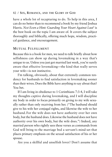have a whole lot of recapturing to do. To help in this area, I can do no better than to recommend a book by my friend Joshua Harris. *Not Even a Hint: Guarding Your Heart Against Lust<sup>9</sup> is* the best book on the topic I am aware of. It covers the subject thoroughly and biblically, offering much hope, wisdom, practical guidance, and encouragement.

## **MUTUAL FULFILLMENT**

Because this is a book for men, we need to talk briefly about how selfishness can show up during lovemaking in a way that's unique to us. Unless you just got married last week, you're surely aware that effective lovemaking—the kind that really serves your wife—is not instinctive.

I'm talking, obviously, about that extremely common tendency for husbands to find satisfaction in lovemaking sooner than their wives. Does the Bible have anything to say about that? You bet.

If I am living in obedience to 1 Corinthians 7:3-4, I will take my thoughts captive during lovemaking, and I will discipline my body in order to focus primarily on giving to my wife sexually rather than only receiving from her. ("The husband should give to his wife her conjugal rights, and likewise the wife to her husband. For the wife does not have authority over her own body, but the husband does. Likewise the husband does not have authority over his own body, but the wife does.") Indeed, any married person who rightly sees these verses as commands from God will bring to the marriage bed a servant's mind-set that places primary emphasis on the sexual satisfaction of his or her spouse.

Are you a skillful and unselfish lover? Don't assume that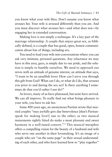you know what your wife likes. Don't assume you know what arouses her. Your wife is aroused differently than you are. And you must discover what arouses her—and what does not—by engaging her in extended conversation.

Making love is not simply a technique. It's a key part of the marriage relationship. A couple that enjoys great sex, as biblically defined, is a couple that has good, open, honest communication about lots of things, including sex.

You need to lead your wife into conversations where you can ask very intimate, personal questions. Any reluctance we may have in this area, guys, is simply due to our pride, and the solution is simply to humble ourselves. We need to approach our wives with an attitude of genuine interest, an attitude that says, "I want to be an unselfish lover. How can I serve you through this gift from God? What can I do, or what do I do, that arouses you prior to and during the sex act? Is there anything I sometimes do that you'd rather I not do?"

As lovers, many of us have plateaued, but none have arrived. We can all improve. To really find out what brings pleasure to your wife, you have to ask her.

Some 400 years ago, an anonymous Puritan wrote that married couples "may joyfully give due benevolence [that's Puritanspeak for making love!] one to the other; as two musical insturments rightly fitted do make a most pleasant and sweet harmony in a well-tuned consort."<sup>10</sup> This musical metaphor offers a compelling vision for the beauty of a husband and wife who serve one another in their lovemaking. It's an image of a couple who are "on the same page" in their sexual understanding of each other, and who have learned how to "play together"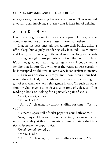in a glorious, interweaving harmony of passion. This is indeed a worthy goal, involving a journey that is itself full of delight.

## **ARE THE KIDS HOME?**

Children are a gift from God. But as every parent knows, they do complicate matters . . . some matters more than others.

Imagine the little ones, all tucked into their bunks, drifting off to sleep, but vaguely wondering why it sounds like Mommy and Daddy are exercising in the next room. As long as the kids are young enough, most parents won't see that as a problem. It's as they grow up that things can get tricky. A couple with a sex life that honors God will, over the years, almost certainly be interrupted by children at some very inconvenient moments.

On various occasions Carolyn and I have been in our bedroom, door locked, in the advanced stages of celebrating the gift of sex, when we heard that gentle knock. On such an occasion my challenge is to project a calm tone of voice, as if I'm reading a book or looking for a particular pair of socks.

*Knock, knock, knock . . .*

"Mom? Dad?"

"Um  $\ldots$ " (clearing my throat, stalling for time.) "Ye  $\ldots$ yes?"

"Is there a spare roll of toilet paper in your bathroom?"

Now, if my children were more perceptive, they would sense my vulnerability at these moments and immediately shift tactics to leverage the opportunity.

*Knock, knock, knock . . .*

"Mom? Dad?"

"Um  $\ldots$ " (clearing my throat, stalling for time.) "Ye  $\ldots$ yes?"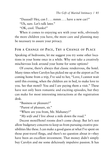"Daaaad? Hey, can I . . . mmm . . . have a new car?"

"Uh, sure. Let's talk later."

"OK, cool. Thanks!"

When it comes to enjoying sex with your wife, obviously the more children you have, the more care and planning may be necessary to assure your privacy.

## **FOR A CHANGE OF PACE, TRY A CHANGE OF PLACE**

Speaking of bedrooms, let me suggest you try some other locations in your home once in a while. Why not take a creatively mischievous look around your home for some options?

Of course, there's always that classic rendezvous, the hotel. Many times when Carolyn has picked me up at the airport as I'm coming home from a trip, I've said to her, "Love, I cannot wait until this evening, when the children are in bed, to make love to you. See that motel? You and I are paying them a visit." These have not only been romantic and exciting episodes, but they can make for most interesting interactions at the registration desk.

"Business or pleasure?"

"Purest of pleasure, sir."

"Where are you from, Mr. Mahaney?"

"*My wife and I* live about a mile down the road."

Decent motel/hotel rooms don't come cheap. But let's not allow budgetary concerns to keep us from pursuing creative possibilities like these. I can make a good guess at what I've spent on those post-travel flings, and there's no question about it—they have been an excellent investment. That money didn't simply buy Carolyn and me some deliciously impulsive passion. It has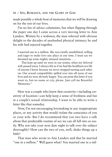made possible a whole host of memories that we will be drawing on for the rest of our lives.

I'm no fan of advice columnists, but when flipping through the paper one day I came across a very moving letter to Ann Landers. Written by a widower, the man referred with obvious delight to the decades of unabashed physical intimacy he and his wife had enjoyed together.

I married one in a million. She was totally uninhibited, willing and eager to make love any place at any time. I must say we dreamed up some mighty unusual situations. . . .

This kept up until we were in our sixties, when my beloved wife passed away. I always felt as if we had the healthiest sex life of anyone I knew because we never stopped turning each other on. Our sexual compatibility spilled over into all areas of our lives and we were divinely happy. You can print this letter if you want to, but no name or city, please. Just call me Beautiful Memories<sup>11</sup>

Here was a couple who knew that creativity—including creativity of location—can help keep a sense of freshness and fun in a couple's sexual relationship. I want to be able to write a letter like that someday.

Now, I'm not encouraging lovemaking in any inappropriate places, or any activity that would violate the conscience of you or your wife. But I do recommend that you two have a talk about that predictable routine of sex we can all fall into so easily. Why not take your next date night to talk over the subject thoroughly? How can the two of you, well, shake things up a little?

That man who wrote to Ann Landers said that he married "one in a million." Well guess what? You married one in a mil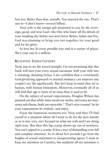lion too. Better than that, actually. You married *the* one. That's one in—I don't know—several billion.

Your wife is the unique gift presented to you by the sovereign, good, and wise God—the One who knew all the details of your wedding day before you were born. Before Adam met Eve, God was planning to bring you two together, for your good and for his glory.

So love her. In every possible way and in a variety of places. She's your one in a million.

## **REALISTIC EXPECTATIONS**

Now, just to set the record straight, I'm not promising that this book will turn your every sexual encounter with your wife into a sweating, shouting frenzy. I *am* confident that a consistently God-glorifying approach to marital intimacy can improve any couple's sex life significantly. But let's keep in mind that we're human, with human limitations. Moreover, eventually all of us will find that age is more of an issue than it used to be.

On the subject of sexual expectations, Douglas Wilson has pointed out that while some meals are steaks, and some are macaroni and cheese, both are enjoyable.12 That's wise counsel. So let your expectations be realistic, and enjoy.

Enjoy the humorous moments too. Now and then I'll find myself in a situation where all I want to do for the next minute or so is stay very, very focused on what my wife and I are doing *right now*. But then this leg cramp shows up out of nowhere. You can't appeal to a cramp. It has a way of demanding your full and complete attention. So in about five seconds I go from the heights of sexual enjoyment to incapacitating agony. I want to keep my attention on Carolyn, but suddenly all my attention is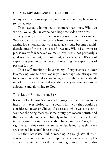on my leg. I want to keep my hands on her, but they have to go to my leg too.

That's actually happened to us more than once. What do we do? We laugh like crazy. And hope the kids don't hear.

So you see, ultimately sex is not a matter of performance. We've talked a lot about getting better at sex, but I'm not suggesting for a moment that your marriage should become a multidecade quest for the ideal set of orgasms. While I do want to please my wife whenever we make love, sex is not primarily a goal-oriented activity. It's an event, an experience. It's about expressing passion to my wife and receiving her expressions of passion for me.

There will inevitably be a variety of experiences in your lovemaking. And to obey God in your marriage is to always seek to be improving. But if we are living with a biblical understanding of and attitude toward sex, then every experience can be enjoyable and glorifying to God.

## **TH E LOVE BEHIND THE SE X**

It's remarkable how Solomon's language, while obvious in its intent, is never biologically specific in a way that could be considered vulgar or clinical. As a result, while we can clearly say that the Song features some pretty provocative stuff, and that sexual intercourse is definitely included in the subject matter, we cannot point to a specific phrase and say, "Yes, look, right here, in this verse the language clearly indicates that they are engaged in sexual intercourse."

But that fact is itself full of meaning. Although sexual intercourse is certainly an ultimate expression of a married couple's erotic encounter, it is not the outstanding central feature of this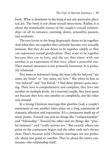book. What is dominant in the Song is not any particular physical act. The book is not *about* sexual intercourse. Rather, it is about the remarkable nature of the couple's overall relationship—in all its romance, yearning, desire, sensuality, passion, and eroticism.

The two lovers in the Song desperately desire to be together. And when they are together they certainly become very sexually intimate. But they do not desire to be together *simply so they can experience sexual gratification*. They want to be together because they are in love, and the sex they enjoy with one another is an expression of that love, albeit a powerful one. Their mutual attraction is not primarily hormonal. It is primarily relational.

Five times in Solomon's Song, the man calls his beloved "my sister, my bride" or "my sister, my love." She refers to him as "my beloved" and "my friend." I find these phrases quite moving. Their love is comprehensive and complete; they love one another on multiple levels. As a married couple, they have great sex because they love one another so completely, not the other way around.

In a strong Christian marriage that glorifies God, a couple's enjoyment of one another takes place on a long continuum of romantic affection and expression. It's a continuum made up of many points. Toward one end are things like "companionship" and "fellowship." Toward the other end are things like "playful intimacy" and "really serious sex." But exactly where one point on the continuum begins and the other ends isn't always clear. That's because solid Christian marriages are not primarily about one point or another. They're about the entire continuum—the relationship itself.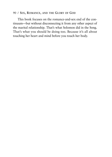This book focuses on the romance-and-sex end of the continuum—but without disconnecting it from any other aspect of the marital relationship. That's what Solomon did in the Song. That's what you should be doing too. Because it's all about touching her heart and mind before you touch her body.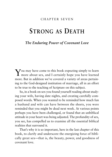#### CHAPTER SEVEN

## **STRONG AS DEATH**

## *The Enduring Power of Covenant Love*

You may have come to this book expecting simply to learn more about sex, and I certainly hope you have learned more. But in addition we've covered a variety of areas pertaining to the God-designed institution of marriage, all in an effort to be true to the teaching of Scripture on this subject.

So, in a book on sex you found yourself reading about studying your wife, having date nights, and creating carefully composed words. When you wanted to be reminded how much fun a husband and wife can have between the sheets, you were reminded that you might be dead next week. At various points perhaps you have been challenged, or found that an unbiblical attitude in your heart was being adjusted. The profundity of sex, you see, has compelled us to examine all the essential biblical realities that surround it.

That's why it is so important, here in the last chapter of this book, to clarify and underscore the energizing force of biblically great sex—that is, the beauty, power, and goodness of covenant love.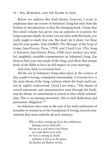Before we address this final theme, however, I want to emphasize that our review of Solomon's Song has only been the briefest of introductions to that life-changing book. I hope that this small volume has given you an appetite to examine the Song in greater depth. So when you are done with this book, you really ought to study that one. But don't do it alone. Let these men be your guides: Tom Gledhill (*The Message of the Song of Songs*, InterVarsity Press, 1994) and Lloyd Carr (*The Song of Solomon*, InterVarsity Press, 1984) have written very helpful, insightful, readable commentaries on Solomon's Song. Use them to fuel your own study of the Song, and allow that unique book of the Bible to have its full impact on your marriage.

And now, back to covenant love . . .

All the sex in Solomon's Song takes place in the context of this couple's loving, committed relationship. Covenant love is the main theme of the Song, without which the book itself cannot be rightly understood. Lloyd Carr notes, "The theme of sexual enjoyment and consummation runs through the book, and the theme of commitment is central to that whole relationship. This is no passing encounter: this is total dedication and permanent obligation."13

So Solomon takes time at the end of his bold celebration of sexuality to remind us of the foundation of loving, marital commitment that must underlie all such intimacy.

> *Who is that coming up from the wilderness, leaning on her beloved? . . . Set me as a seal upon your heart, as a seal upon your arm, for love is strong as death, jealousy is fierce as the grave. Its flashes are flashes of fire,*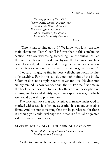*the very flame of the LORD. Many waters cannot quench love, neither can floods drown it. If a man offered for love all the wealth of his house, he would be utterly despised.*  $8:5 - 7$ 

"Who is that coming up . . . ?" We know who it is—the two main characters. Tom Gledhill informs that in this concluding section, "We are witnessing something like the curtain call at the end of a play or musical. One by one the leading characters come forward, take a bow, and through a characteristic action or by a few well-chosen words, recall what has gone before."14

Not surprisingly, we find in those well-chosen words invaluable teaching. For in this concluding high point of the book, Solomon does not simply refer to covenant love. He does not simply remind us how foundational that is. For the first time in the book he defines love for us. He offers a vivid description of it, assigning to it and identifying within it specific traits, to which we would do well to pay attention.

The covenant love that characterizes marriage under God is marked with a seal. It is "strong as death." It is an unquenchable flame. And it is not something that can be purchased, for there is nothing you could exchange for it that is of equal or greater value. Covenant love is a gift.

### **MARKED WITH A SEAL: THE SIGN OF COVENANT**

*Who is that coming up from the wilderness, leaning on her beloved?*

As the two main characters emerge to take their final bow,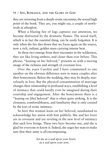they are returning from a deeply erotic encounter, the sexual high point of the book. They are, you might say, a couple of newlyweds in afterglow.

When a blazing fire of logs captures our attention, we become distracted by the dramatic flames. The wood itself, which is in fact the essential thing, can be easily forgotten. It is only when the fire dies down that we focus again on the source, now a rich, radiant, golden mass carrying intense heat.

As these two emerge from their encounter in the wilderness, they are like living embers, and closer than ever before. This phrase, "leaning on her beloved," presents us with a moving image of the richness and strength of covenant love.

Over the years Carolyn and I have commented to one another on the obvious difference seen in many couples after their honeymoon. Before the wedding, they may be deeply, marvelously in love. But the physical consummation of marriage changes their relationship in profound ways, establishing a level of intimacy that could hardly even be imagined during their courtship and engagement. After the honeymoon there is a "leaning on [the] beloved" that is often quite striking. It is the closeness, comfortableness, and familiarity that is only created by the joys of erotic intimacy.

So here this woman leans on her beloved, unashamed to acknowledge her union with him publicly. She and her lover are in covenant and are reveling in the new level of intimacy that such love brings. These two have become one, and she is glad for everyone to know it. Indeed, she urges her man to make sure that their unity is all-encompassing.

> *Set me as a seal upon your heart, as a seal upon your arm.*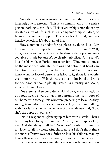Note that the heart is mentioned first, then the arm. One is internal; one is external. This is a commitment of the entire person; nothing is excluded. Their relationship is not about any isolated aspect of life, such as sex, companionship, children, or financial or material support. This is a wholehearted, comprehensive devotion. It's about all of life.

How common it is today for people to say things like, "My kids are the most important thing in the world to me." Well, guys, for you and me, as Christian husbands, that's just an unacceptable attitude because it's so clearly unbiblical. A husband's love for his wife, as Puritan preacher John Wing put it, "must be the most dear, intimate, precious and entire that heart can have toward a creature; none but the love of God . . . is above it, none but the love of ourselves is fellow to it, all the love of others in inferior to it."15 In short, the love of husband and wife for one another should plainly exceed, in intensity and scope, all other human loves.

One evening when our oldest child, Nicole, was a young lady of about five, we were all gathered around the front door of our home with some guests who were preparing to leave. As they were getting into their coats, I was kneeling down and talking with Nicole for a moment when one of the gentlemen said, "I bet she's the apple of your eye."

"No," I responded, glancing up at him with a smile. Then I turned my head to my wife and said, "Carolyn is the apple of my eye. And she always will be." Now don't doubt for a minute my love for all my wonderful children. But I don't think there is a more effective way for a father to love his children than by loving their mother in an exclusive, pronounced, public way.

Every wife wants to know that she is uniquely impressed on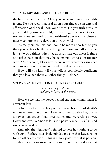the heart of her husband. Men, your wife and mine are no different. Do you wear that seal upon your finger as an external affirmation of the seal upon your heart? Do you truly treasure your wedding ring as a bold, unwavering, ever-present assertion—to yourself and to the world—of your total, exclusive, utterly comprehensive devotion to your wife?

It's really simple. No one should be more important to you than your wife or be the object of greater love and affection. So let us do two things. First, let us scrutinize our lives: Is there any other passion that may be eclipsing our passion for our wives? And second, let us give to our wives whatever assurance or reassurance of this unparalleled love they may need.

How will you know if your wife is completely confident that you love her above all other things? Ask her.

#### **STRONG AS DEATH: FINAL AND IRREVERSIBLE**

*For love is strong as death, jealousy is fierce as the grave.*

Here we see that the power behind enduring commitment is covenant love.

Solomon offers us this potent image because of death's uniqueness—not as an awful enemy or inescapable foe, but as a power—an active, final, irresistible, and irreversible power. Covenant love, Solomon tells us, is a power every bit as final and irreversible as death.

Similarly, the "jealousy" referred to here has nothing to do with envy. Rather, it's a single-minded passion that leaves room for no other attractions. This is a holy jealousy that is passionate about one spouse—and one spouse alone. It is a jealousy that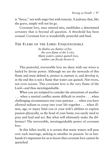is "fierce," not with anger but with tenacity. A jealousy that, like the grave, simply will not let go.

Covenant love, once entered into, establishes a determined certainty that is beyond all question. A threshold has been crossed. Covenant love is wonderfully powerful and final.

## THE FLAME OF THE LORD: UNQUENCHABLE

*Its flashes are flashes of fire, the very flame of the LORD. Many waters cannot quench love, neither can floods drown it.*

This powerful, irreversible love we share with our wives is fueled by divine power. Although we are the stewards of this flame and must defend it, protect it, nurture it, and develop it, in the end this is not a flame that water can quench. Not rivers, not even oceans. This covenant love is the very flame of the Lord—and thus inextinguishable.

When you are tempted to consider the attractions of another . . . when a marital conflict seems difficult to resolve . . . when challenging circumstances test your patience . . . when you have allowed tedium to creep into your life together . . . when illness, age, or injury limit you or your wife's abilities to express passion physically, as the head of your home you surely need to pray and lead and act. But what will ultimately make the difference? The irreversible, inextinguishable power of covenant love.

In this fallen world, it is certain that many waters will pass over each marriage, seeking to smother its passion. So as husbands it's important for us to know that covenant love cannot be quenched.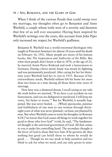When I think of the various floods that could sweep over my marriage, my thoughts often go to Benjamin and Anne Warfield, a couple whose trials were of a severity and duration that few of us will ever encounter. Having been inspired by Warfield's writings over the years, this account from John Piper only increased my respect for Warfield's godliness.

Benjamin B. Warfield was a world-renowned theologian who taught at Princeton Seminary for almost 34 years until his death on February 16, 1921. Many people are aware of his famous books, like *The Inspiration and Authority of the Bible*. But what most people don't know is that in 1876, at the age of 25, he married Annie Pierce Kinkead and took a honeymoon to Germany. During a fierce storm Annie was struck by lightning and was permanently paralyzed. After caring for her for thirtynine years Warfield laid her to rest in 1915. Because of her extraordinary needs, Warfield seldom left his home for more than two hours at a time during all those thirty-nine years of marriage.

Now here was a shattered dream. I recall saying to my wife the week before we married, "If we have a car accident on our honeymoon, and you are disfigured or paralyzed, I will keep my vows, 'for better or worse.'" But for Warfield, it actually happened. She was never healed. . . . [What] spectacular, patience and faithfulness of one man to one woman through thirtyeight years of what was never planned—at least, not planned by man. But when Warfield came to write his thoughts on Romans 8:28 ["we know that God causes all things to work together for good to those who love God" NASB], he said, "The fundamental thought is the universal government of God. All that comes to you is under his controlling hand. The secondary thought is the favor of God to those that love him. If he governs all, then nothing but good can befall those to whom he would do good. . . . Though we are too weak to help ourselves and too blind to ask for what we need, and can only groan in unin-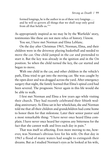formed longings, he is the author in us of these very longings . . . and he will so govern all things that we shall reap only good from all that befalls us."<sup>16</sup>

As appropriately inspired as we may be by the Warfields' story, testimonies like these are not mere relics of history. I know.

You see, I have met Norman and Elma Leblanc.

On the day after Christmas 1965, Norman, Elma, and their children were in the driveway playing basketball and needed to move the car. One child jumped in the car and pretended to start it. But the key was already in the ignition and in the *On* position. So when the child turned the key, the car started and began to move.

With one child in the car, and other children in the vehicle's path, Elma tried to get into the moving car. She was caught by the open door and was dragged across the yard. After emergency surgery that night, the family learned that Elma's spinal cord had been severed. The prognosis: Never again in this life would she be able to walk.

I first met Norman and Elma a few years ago while visiting their church. They had recently celebrated their fiftieth wedding anniversary. As Elma sat in her wheelchair, she and Norman told me that all their children and grandchildren had come home to honor them for that milestone. Later their senior pastor said a most remarkable thing: "I have never once heard Elma complain. I have never once heard her express any bitterness for the fact that she cannot walk and lives each day in pain."

That was itself so affecting. Even more moving to me, however, was Norman's obvious love for his wife. On that day in 1965 a flood of many waters had sought to extinguish their dreams. But as I studied Norman's eyes as he looked at his wife,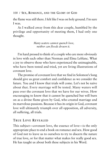the flame was still there. I felt like I was on holy ground. I'm sure I was.

As I walked away from this dear couple, humbled by the privilege and opportunity of meeting them, I had only one thought.

> *Many waters cannot quench love, neither can floods drown it.*

I'm hard pressed to think of a couple who are more obviously in love with each other than Norman and Elma Leblanc. What a joy to observe those who have experienced the unimaginable, who have been tested and tried, yet are living illustrations of covenant love.

The promise of covenant love that we find in Solomon's Song should give us great comfort and confidence as we consider the future. You and I know that trials will come. Let's not be naïve about that. Every marriage will be tested. Many waters will pass over the covenant love that we have for our wives. How encouraging to know that it cannot be quenched but will burn on as a divine flame given by God, who created marriage and its marvelous passions. Because it has its origin in God, covenant love will ultimately triumph over all opposition, all adversity, all suffering, all trials.

## **TRUE LOVE REVEALED**

This subject—covenant love, the essence of love—is the only appropriate place to end a book on romance and sex. How good of God not to leave us to ourselves to try to discern the nature of true love, or for that matter what makes for really good sex. He has taught us about both these subjects in his Word.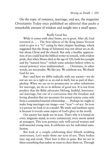On the topic of romance, marriage, and sex, the magazine *Christianity Today* once published an editorial that packs a remarkable amount of wisdom and insight into a small space.

#### Really Good Sex

While it comes with clear limits, sex is great. After all, God invented it. . . . The first editors of the King James Version tried to give it a "G" rating by their chapter headings, which suggested that the [Song of Solomon] was not about sex at all, but about Christ and the church. But only a healthy appreciation of sex could lead the biblical writer to remark, with evident pride, that when Moses died at the age of 120, both his eyesight and his "natural force" (which some scholars believe refers to sexual potency) were undiminished. . . . Christians, in other words, are not prudes. We like sex. We celebrate sex. We thank God for sex.

But—and here we differ radically with our society—we do not see sex as a right or as an end in itself, but as part of discipleship. When we say no to promiscuity or other substitutes for marriage, we do so in defense of good sex. It is not from prudery that the Bible advocates lifelong, faithful, heterosexual marriage, but out of a conviction that the freedom and loving abandon that are necessary for sexual ecstasy come only from a committed marital relationship. . . . Perhaps we ought to make long marriages our image—our "icon"—of sex. An icon is a picture we look to as a model. We study and meditate upon it because it reveals some aspect of God's glory in the world.

Our society has made sex its icon. That's why it is found on every magazine stand, in every commercial, every movie aimed at teenagers. This icon portrays only well-curved women and well-muscled young men. It celebrates sex for individual satisfaction.

But look at a couple celebrating their fiftieth wedding anniversary. Let's make them *our* icon of sex. Their bodies may sag and creak. Their hair is thin or gone. But we see in them something that makes us want to cheer them on. Through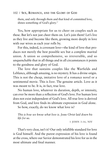them, and only through them and that kind of committed love, shines something of God's glory.<sup>17</sup>

Yes, how appropriate for us to cheer on couples such as these. But let's not just cheer them on. Let's join them! Let's live as they live and become like them, growing more deeply in love with our wives as each year rolls by.

For this, indeed, is covenant love—the kind of love that produces not merely the best possible sex but a complete marital union. A union so comprehensive, so irreversible, and so unquenchable that in all things and in all circumstances it points to the goodness and glory of God.

The love that sustains couples like the Warfields and Leblancs, although amazing, is no mystery. It has a divine origin. This is not the cheap, imitative love of a romance novel or a sentimental movie. This is *love*. The genuine article. Love as it was meant to be. It is, in fact, true love.

No human love, whatever its duration, depth, or intensity, can ever be more than a reflection of God's love. For human love does not exist independent of God's love. All true love is derived from God, and love finds its ultimate expression in God alone.

So how, exactly, do we know what love is?

*This is how we know what love is. Jesus Christ laid down his life for us.*

1 JOHN 3:16, NIV

That's very clear, isn't it? Our only infallible standard for love is God himself. And the purest expression of his love is found at the cross, where our Savior demonstrated his love for us in the most ultimate and final manner.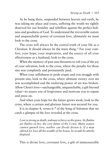As he hung there, suspended between heaven and earth, he was taking my place and yours, suffering the wrath we rightly deserved for our hostility and rebellion against the perfect holiness and goodness of God. To understand the irreversible nature and unquenchable power of covenant love, ultimately we must look to the cross.

The cross will always be the central truth of your life as a Christian. It should always be the main thing.18 For your comfort, your hope, your inspiration, and the source of all your effectiveness as a husband, look to the cross.

When the memory of past sins threatens to rob you of the joy of your salvation, look to the cross, where the penalty for those sins was completely and permanently paid.

When your selfishness or pride erupts and you struggle with present sins, look to the cross, where ultimate victory over sin was accomplished and the enslaving power of sin was broken. Allow Christ's love—unchangeable, unquenchable, a gift beyond value—to assure you of forgiveness and motivate you to repent and press on.

And when your hope for the future grows weak, look to the cross, where a certain and glorious future was secured for you.

It is in chapter 8, verses 6-7 of the Song of Solomon that we catch a glimpse of the love revealed at the cross.

*Love is strong as death, jealousy is fierce as the grave. Its flashes are flashes of fire, the very flame of the LORD. Many waters cannot quench love, neither can floods drown it. If a man offered for love all the wealth of his house, he would be utterly despised.*

This is divine love, covenant love, a gift of immeasurable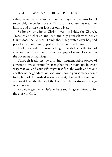value, given freely by God to man. Displayed at the cross for all to behold, the perfect love of Christ for his Church is meant to inform and inspire our love for our wives.

So love your wife as Christ loves his Bride, the Church. Treasure and cherish and lead and ally yourself with her as Christ does the Church. Think about her, watch over her, and pray for her continually, just as Christ does the Church.

Look forward to sharing a long life with her as the two of you continually learn more about the joys of sexual love within the covenant of marriage.

Through it all, let the unifying, unquenchable power of covenant love continually strengthen your marriage in every way, that you and your wife might testify to the world and to one another of the goodness of God. And should you someday come to a place of diminished sexual capacity, know that this same covenant love, the flame of the Lord, will be as strong and vigorous as ever.

And now, gentlemen, let's get busy touching our wives . . . for the glory of God.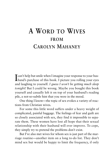# **A WORD TO WIVES FROM CAROLYN MAHANEY**

I can't help but smile when I imagine your response to your husband's purchase of this book. I picture you rolling your eyes and laughing to yourself. *I guess I won't be getting much sleep tonight!* But I could be wrong. Maybe you bought this book yourself and casually left it on top of your husband's reading pile, a not-so-subtle hint that you were in the mood.

One thing I know—the topic of sex evokes a variety of reactions from Christian wives.

For some this little word suffers under a heavy weight of complicated, painful baggage. The feelings of fear and guilt are so closely associated with sex, they find it impossible to separate them. These women have lost all hope that their sexual relationship with their husband will ever improve. To cope, they simply try to pretend the problems don't exist.

But I've also met wives for whom sex is just part of the marriage routine—another item on a long to-do list. They don't mind sex but would be happy to limit the frequency, if only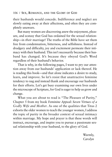their husbands would concede. Indifference and neglect are slowly eating away at their affections, and often they are completely unaware.

But many women are discovering anew the enjoyment, pleasure, and ecstasy that God has ordained for the sexual relationship—in *their* marriage! The truths of the Bible have set them free from condemnation, bitterness, and selfishness. Instead of drudgery and difficulty, joy and excitement permeate their intimacy with their husband. This isn't necessarily because their husband has changed. It's because they obeyed God's Word regardless of their husband's behavior.

That is why, in the following pages, I want to pry our attention away from our husbands' application or lack thereof. He is reading this book—and that alone indicates a desire to study, learn, and improve. So let's resist that unattractive feminine tendency to nag and instead thank and encourage our husbands for their efforts. Let's get busy examining our own lives under the microscope of Scripture, for God is eager to help us grow and change.

What you are about to read is "The Pleasure of Purity," Chapter 5 from my book *Feminine Appeal: Seven Virtues of a Godly Wife and Mother*. As one of the qualities that Titus 2 exhorts the older women to teach the younger women, I address the topic of purity in the broader context of sexual intimacy within marriage. My hope and prayer is that these words will instruct, encourage, and inspire you to pursue a passionate sexual relationship with your husband, to the glory of God.

> Warmly, *Carolyn*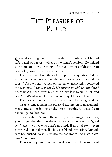# **THE PLEASURE OF PURITY**

Several years ago at a church leadership conference, I hosted a panel of pastors' wives at a women's session. We fielded questions on a wide variety of topics—from childrearing to counseling women in crisis situations.

Then a woman from the audience posed the question: "What is one thing you have learned that encourages your husband the most?" As the other women on the panel answered, I pondered my response. *I know what C. J.'s answer would be, but dare I say that?* And then it was my turn. "Make love to him," I blurted out. "That's what my husband would say if he were here!"

The room erupted into a wave of nervous, knowing laughter.

It's true! Engaging in this physical expression of marital intimacy and union is one of the most meaningful ways I can encourage my husband.

If you watch TV, go to the movies, or read magazines today, you can get the idea that the only people having sex (or "good sex") are the ones who aren't married. If marital sex is even portrayed in popular media, it seems bland or routine. Our culture has pushed marital sex into the backroom and instead *celebrates* immoral sex.

That's why younger women today require the training of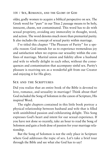older, godly women to acquire a biblical perspective on sex. The Greek word for "pure" in our Titus 2 passage means to be holy, innocent, chaste, not contaminated. This word has to do with sexual propriety, avoiding any immorality in thought, word, and action. The word denotes much more than premarital purity. It also includes the concept of sexual purity within marriage.

I've titled this chapter "The Pleasure of Purity" for a specific reason: God intends for us to experience tremendous joy and satisfaction when we express our sexuality within the confines of marriage. Marital union and fidelity allow a husband and wife to wholly delight in each other, without the consequences and contamination that accompany sinful sex. Purity's pleasure is receiving sex as a wonderful gift from our Creator and enjoying it for His glory.

## **SEX AND THE SCRIPTURES**

Did you realize that an entire book of the Bible is devoted to love, romance, and sexuality in marriage? Think about that! God included the Song of Solomon in the canon of Scripture, His inspired Word.

The eight chapters contained in this little book portray a physical relationship between husband and wife that is filled with uninhibited passion and exhilarating delight. This Song expresses God's heart and intent for our sexual experience. If you have not done so recently, take an hour to read the Song of Solomon and gain a fresh dose of passion for your marriage relationship.

But the Song of Solomon is not the only place in Scripture where God addresses the topic of sex. Let's take a brief tour through the Bible and see what else God has to say!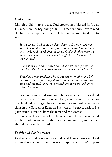#### *God's Idea*

Mankind didn't invent sex. God created and blessed it. It was His idea from the beginning of time. In fact, we only have to read the first two chapters of the Bible before we are introduced to sex:

*So the LORD God caused a deep sleep to fall upon the man, and while he slept took one of his ribs and closed up its place with flesh. And the rib that the LORD God had taken from the man he made into a woman and brought her to the man. Then the man said:*

*"This at last is bone of my bones and flesh of my flesh; she shall be called Woman, because she was taken out of Man."*

*Therefore a man shall leave his father and his mother and hold fast to his wife, and they shall become one flesh. And the man and his wife were both naked and were not ashamed. (Gen. 2:21-25)*

God made man and woman to be sexual creatures. God did not wince when Adam, in seeing Eve, was drawn to her sexually. God didn't cringe when Adam and Eve enjoyed sexual relations in the Garden of Eden. In His wise and perfect design, He gave sexual desire to both the man and the woman.

Our sexual desire is not evil because God Himself has created it. He is not embarrassed about our sexual nature, and neither should we be embarrassed.

# *Fashioned for Marriage*

God gave sexual desire to both male and female; however, God imposed restrictions upon our sexual appetites. His Word pro-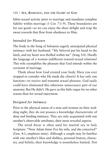hibits sexual activity prior to marriage and mandates complete fidelity within marriage (1 Cor. 7:1-9). These boundaries are for our good—so we can enjoy the sheer delight and reap the sweet rewards that flow from obedience to Him.

# *Intended for Pleasure*

The bride in the Song of Solomon eagerly anticipated physical intimacy with her husband: "My beloved put his hand to the latch, and my heart was thrilled within me" (Song 5:4). Hardly the language of a woman indifferent toward sexual relations! This wife exemplifies the pleasure that God intends within the covenant of marriage.

Think about how God created your body. Have you ever stopped to consider why He made the clitoris? It has only one function—to receive and transmit sexual pleasure. God easily could have eliminated this otherwise unnecessary part of our anatomy. But He didn't. He gave us this little organ for no other reason than for sexual enjoyment.

# *Designed for Intimacy*

Prior to the physical union of a man and woman on their wedding night, they do not possess a knowledge characteristic of deep and binding intimacy. They are only acquainted with one another's observable attributes, their most revealed aspects.

The word *know* is often used for marital sex in holy Scripture: "Now Adam *knew* Eve his wife, and she conceived" (Gen. 4:1, emphasis mine). Although a couple may be familiar with one another's likes and dislikes, personal history, character, and beliefs, their knowledge is nonetheless limited. Not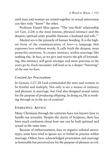until man and woman are joined together in sexual intercourse can they truly "know" the other.

Professor Daniel Akin agrees: "The 'one-flesh' relationship (cf. Gen. 2:24) is the most intense, physical intimacy and the deepest, spiritual unity possible between a husband and wife."1

Marital sex is the pinnacle of human bonding. It is the highest form of the communication of love—a language that expresses love without words. It calls forth the deepest, most powerful emotions. It creates intimacy within marriage like nothing else. In fact, as we give and receive the gift of lovemaking, this intimacy will grow stronger and more precious as the years go by. Each encounter will lead us to a deeper "knowing" of the one we love.

# *Created for Procreation*

In Genesis 1:27-28 God commanded the man and woman to be fruitful and multiply. Not only is sex a means of intimacy and pleasure in marriage, but God also designed sexual union for the purpose of producing offspring. In doing so, He is working through us in the act of creation!

# **UNHELPFUL ADVICE**

Many Christians through the centuries have not known how to handle our sexuality. Despite the clarity of Scripture, there has been much confusion about how one can be both spiritual and sexual at the same time.

Because of embarrassment, fear, or negative cultural stereotypes, some have tried to ignore sex or forbid its practice within marriage. Others have acknowledged procreation and marriage as honorable but perceived sex for the purpose of pleasure as evil.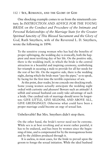One shocking example comes to us from the nineteenth century. In *INSTRUCTION AND ADVICE FOR THE YOUNG BRIDE on the Conduct and Procedure of the Intimate and Personal Relationships of the Marriage State for the Greater Spiritual Sanctity of This Blessed Sacrament and the Glory of God*, Ruth Smythers, wife of the Reverend L. D. Smythers, wrote the following in 1894:

To the sensitive young woman who has had the benefits of proper upbringing, the wedding day is ironically, both the happiest and most terrifying day of her life. On the positive side, there is the wedding itself, in which the bride is the central attraction in a beautiful and inspiring ceremony, symbolizing her triumph in securing a male to provide for all her needs for the rest of her life. On the negative side, there is the wedding night, during which the bride must "pay the piper," so to speak, by facing for the first time the terrible experience of sex.

At this point, dear reader, let me concede one shocking truth. Some young women actually anticipate the wedding night ordeal with curiosity and pleasure! Beware such an attitude! A selfish and sensual husband can easily take advantage of such a bride. One cardinal rule of marriage should never be forgotten: GIVE LITTLE, GIVE SELDOM, AND ABOVE ALL, GIVE GRUDGINGLY. Otherwise what could have been a proper marriage could become an orgy of sexual lust.

Unbelievable! But Mrs. Smythers didn't stop there.

On the other hand, the bride's terror need not be extreme. While sex is at best revolting and at worst rather painful, it has to be endured, and has been by women since the beginning of time, and is compensated for by the monogamous home and by the children produced through it.

It is useless, in most cases, for the bride to prevail upon the groom to forego the sexual initiation. While the ideal husband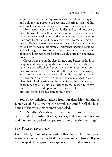would be one who would approach his bride only at her request, and only for the purpose of begetting offspring, such nobility and unselfishness cannot be expected from the average man.

Most men, if not denied, would demand sex almost every day. The wise bride will permit a maximum of two brief sexual experiences weekly during the first months of marriage. As time goes by she should make every effort to reduce this frequency. Feigned illness, sleepiness and headaches are among the wife's best friends in this matter. Arguments, nagging, scolding and bickering also prove very effective if used in the late evening about one hour before the husband would normally commence his seduction.

Clever wives are on the alert for new and better methods of denying and discouraging the amorous overtures of the husband. A good wife should expect to have reduced sexual contacts to once a week by the end of the first year of marriage and to once a month by the end of the fifth year of marriage. By their tenth anniversary many wives have managed to complete their child bearing and have achieved the ultimate goal of terminating all sexual contacts with the husband. By this time, she can depend upon his love for the children and social pressures to hold the husband in the home.<sup>2</sup>

Some very unhelpful advice from our dear Mrs. Smythers! Don't we all feel sorry for Mr. Smythers? And for all the husbands of the wives this woman counseled?

Mrs. Smythers's instructions were never God's intent for our sexual relationship. Rather, God's grand design is that man and woman unabashedly enjoy sexual union within marriage!

#### **SEX POLLUTED BY SIN**

Undoubtedly, some of you reading this chapter have had past sexual encounters that yielded much pain and confusion. If you have reaped the negative consequences of sexual sin—either as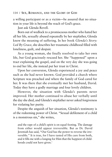a willing participant or as a victim—be assured that no situation in your life is beyond the reach of God's grace.

Just ask Glenda Revell.

Born out of wedlock to a promiscuous mother who hated her all her life, sexually abused repeatedly by her stepfather, Glenda knew the meaning of suffering. In her book *Glenda's Story: Led By Grace*, she describes her traumatic childhood filled with loneliness, guilt, and despair.

As a young woman, she finally resolved to take her own life, but God graciously rescued her. She "happened" upon a tract explaining the gospel, and on the very day she was going to end her life, she instead put her trust in Christ.

Upon her conversion, Glenda experienced a joy and peace such as she had never known. God provided a church where Scripture was preached and where the family of God cared for her. It was there that she eventually met her husband, David. Today they have a godly marriage and four lovely children.

However, the situation with Glenda's parents never improved. Her mother continued to abuse her verbally until the day she died, and Glenda's stepfather never asked forgiveness for violating her purity.

Despite the anguish of her situation, Glenda's testimony is of the redeeming power of Christ. "Sexual defilement of a child is a monstrous sin," she writes,

and the rape of a child's spirit is on equal footing. The damage from either would appear irreversible. But as Dr. David Jeremiah has said, "Our God has the power to reverse the irreversible." It is true, for I have tasted of His cure from both, and it fills me with a longing for Him that the happiest of childhoods could not have given.<sup>3</sup>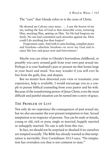The "cure" that Glenda refers to is the cross of Christ.

He showed me Calvary once more. . . . I saw the horror of my sin, nailing the Son of God to that miserable cross, torturing Him, mocking Him, spitting on Him. Yet He had forgiven me freely. No one had committed such atrocities against me. How could I do anything less than forgive?

Forgiveness came. And with it came healing, complete peace and freedom—absolute freedom—to serve my God and to enjoy His love and peace now and forevermore.<sup>4</sup>

Maybe you can relate to Glenda's horrendous childhood, or possibly you carry around guilt from your own past sexual sin. Perhaps it is your husband's past or present sin that looms large in your heart and mind. You may wonder if you will ever be free from the guilt, fear, and despair.

But no matter how distorted your view or traumatic your experience, help is available. I would encourage you as a couple to pursue biblical counseling from your pastor and his wife. Because of the transforming power of Jesus Christ, even the most difficult and painful situation can be turned into a story of grace.

## **THE PROBLEM OF LUST**

Not only do we experience the consequences of past sexual sin, but we also encounter the ever-present temptation to lust. Sexual temptation is no respecter of persons. You can be male or female, young or old, rich or poor, single or married, happily married or unhappily married. No one is safe from this vice.

In fact, we should not be surprised or shocked if we ourselves are tempted sexually. The Bible has already warned us that temptation is inevitable. First Corinthians 10:13 says, "No temptation has overtaken you that is not common to man."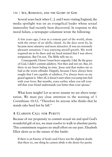Several years back when C. J. and I were visiting England, the media spotlight was on an evangelical leader whose sexual immorality had recently been discovered. In response to this moral failure, a newspaper columnist wrote the following:

A few years ago, I was in a remote part of the world, alone with the owner of an idyllic island. As the days went by, he became more attentive and more attractive. It was an extremely pleasant sensation. I was enjoying myself greatly. My work required me to be there and my head insisted that I was above temptation. But I'm not. The Bible tells me so.

Consequently I knew I must leave urgently. I did. By the grace of God, I didn't commit adultery. Not then and not yet. But, it's there in my heart biding its time. Jesus said that makes me as bad as the worst offender. Happily, because I have always been taught that I am capable of adultery, I've always been on my guard against it. After all, it doesn't start when you jump into bed with your lover. But months, years earlier, when you tell yourself that your friend understands you better than your spouse.<sup>5</sup>

What keen insight! Let us never assume we are above temptation. We must pay close attention to the warning of 1 Corinthians 10:12: "Therefore let anyone who thinks that he stands take heed lest he fall."

## **A CLARION CALL FOR PURITY**

Because of our propensity to commit sexual sin and spoil God's wonderful gift of sex, we must resolve to walk in absolute purity. This commitment requires no small effort on our part. Elisabeth Elliot alerts us to the nature of this battle:

If there is an Enemy of Souls (and I have not the slightest doubt that there is), one thing he cannot abide is the desire for purity.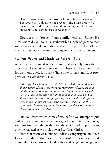Hence a man or woman's passions become his battleground. The Lover of Souls does not prevent this. I was perplexed because it seemed to me He should prevent it, but He doesn't. He wants us to learn to use our weapons.<sup>6</sup>

God does not "prevent" our conflict with sin. Rather He directs us to draw upon His inexhaustible supply of grace so that we can resist sexual temptation and grow in purity. The following are three tactics we must employ in this battle for our soul.

#### *Set Our Hearts and Minds on Things Above*

As we learned from Glenda's testimony, it was only through the cross that she obtained freedom from her sin. The same is true for us in our quest for purity. Take note of the significant progression in Colossians 3:1-5:

*If then you have been raised with Christ, seek the things that are above, where Christ is, seated at the right hand of God. Set your minds on things that are above, not on things that are on earth. For you have died, and your life is hidden with Christ in God. When Christ who is your life appears, then you also will appear with him in glory. Put to death therefore what is earthly in you: sexual immorality, impurity, passion, evil desire, and covetousness, which is idolatry.*

Did you catch which comes first? Before we attempt to put to death sexual immorality, impurity, evil desire, etc., in our lives, we must first seek things that are above. Growth in purity can only be realized as we look upward to Jesus Christ.

Does that mean we minimize or dismiss impurity in our lives? Does this indicate that God is tolerant of evil desire or sexual immorality? Of course not! God neither makes light of nor ignores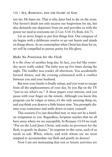our sin. He hates sin. That is why Jesus had to die on the cross. Our Savior's death not only secures our forgiveness for sin, but also demands our departure from sin and provides us with the power we need to overcome sin (2 Cor. 5:14-15; Rom. 6:6-7).

Let us never forget to put first things first. Our conquest of sin begins with a deliberate resolve to set our hearts and minds on things above. As we contemplate what Christ has done for us, we will be compelled to pursue purity for His glory.

#### *Make No Provision for the Flesh*

It is the close of another long day. In fact, you feel like yesterday never really ended. The baby was up five times during the night. The toddler was cranky all afternoon. You accidentally burned dinner, and the evening culminated with a conflict between you and your husband.

But now your family is finally asleep, and you want to escape from all the unpleasantness of your day. So you flip on the TV "just to see what's on." A show piques your interest, and you pause with your finger on the remote. Although you know this program can be vulgar at times, it's the only amusing thing on, and you think you deserve a little leisure time. You promptly dismiss your conscience and settle down to enjoy yourself.

This scenario I've just described may or may not be a familiar temptation to you. Regardless, Scripture teaches that we all have areas where we are susceptible. In Romans 13:14 we read: "Put on the Lord Jesus Christ, and make no provision for the flesh, to gratify its desires." In response to this verse, each of us needs to ask: When, where, and with whom are we most tempted to accommodate our flesh and gratify its desires?

Now I am not insinuating that rest or leisure activities are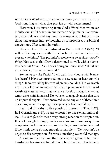sinful. God's Word actually *requires* us to rest, and there are many God-honoring activities that provide us with refreshment!

However, I *am* insisting from God's Word that we never indulge our sinful desires in our recreational pursuits. For example, we should not read anything, view anything, or listen to anything that arouses impure thoughts or compromises our biblical convictions. *That* would be sinful!

Observe David's commitment in Psalm 101:2-3 (NIV): "I will walk in my house with blameless heart. I will set before my eyes no vile thing." The psalmist's resolve was sweeping—*no vile thing*. Notice also that David determined to walk with a blameless heart *at home*. As Charles Spurgeon once said: "What we are at home, that we are indeed."7

So can we say like David, "I will walk in my house with blameless heart"? Have we purposed not to see, read, or hear any vile thing? Or are we taking liberties where we shouldn't? Do we watch any unwholesome movies or television programs? Do we read worthless materials—such as romance novels or magazines—that tempt us to sinful fantasies? Do we listen to ungodly music that stirs up impure thoughts? If we answered yes to any one of these three questions, we must expunge these practices from our lifestyle.

Paul told Timothy to flee youthful passions (2 Tim. 2:22). In 1 Corinthians 6:18, we are exhorted to flee sexual immorality. This verb *flee* denotes a very strong reaction to temptation. It is not enough to simply walk away. We are to run away from temptation as fast as we can, to take flight. And we're deceived if we think we're strong enough to handle it. We wouldn't be urged to flee temptation if it were something we could manage.

A woman once told me that she stopped going to her male hairdresser because she found him to be attractive. That became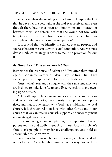a distraction when she would go for a haircut. Despite the fact that he gave her the best haircut she had ever received, and even though there had never been any inappropriate interaction between them, she determined that she would not fool with temptation. Instead, she found a new hairdresser. That's an example of what it means to flee temptation!

It is crucial that we identify the times, places, people, and sources that can present us with sexual temptation. And we must devise a biblical strategy in order to make no provision for our flesh.

# *Be Honest and Pursue Accountability*

Remember the response of Adam and Eve after they sinned against God in the Garden of Eden? They hid from Him. They evaded personal responsibility for their disobedience.

Guess what? You and I struggle with the same tendency; we are inclined to hide. Like Adam and Eve, we seek to avoid owning up to our sin.

Yet to attempt to hide our sin and escape blame are perilous endeavors. We will not grow in purity if we pursue such practices, and that is one reason why God has established the local church. It is through relationships with other Christians in our church that we can receive counsel, support, and encouragement in our struggle against sin.

If we are facing sexual temptation, it is imperative that we pursue mature and godly friendships in our local church. We should ask people to pray for us, challenge us, and hold us accountable to God's Word.

So let's not hide our sin, but rather honestly confess it and ask others for help. As we humble ourselves in this way, God will use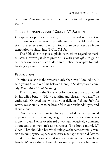our friends' encouragement and correction to help us grow in purity.

# **THREE PRINCIPLES FOR "GRADE A" PASSION**

Our quest for purity inextricably involves the ardent pursuit of an exciting sexual relationship with our husbands. Marital relations are an essential part of God's plan to protect us from temptation to sinful lust (1 Cor. 7:2-5).

The Bible does not give explicit instructions regarding marital sex. However, it does provide us with *principles* to guide our behavior. So let us consider three biblical principles for cultivating a passionate marriage.

# *Be Attractive*

"In mine eye she is the sweetest lady that ever I looked on,"8 said young Claudio of his beloved Hero, in Shakespeare's comedy *Much Ado About Nothing*.

The husband in the Song of Solomon was also captivated by his wife's beauty. "How beautiful and pleasant you are," he enthused, "O loved one, with all your delights!" (Song 7:6). As wives, we should aim to be beautiful in our husbands' eyes, and theirs alone.

Often women who meticulously attended to their physical appearance before marriage neglect it once the wedding ceremony is over. I once overheard a woman negatively comment about another woman's appearance: "She looks married." Ouch! That shouldn't be! We should give the same careful attention to our physical appearance *after* marriage as we did *before*.

We need to discover what makes us attractive to our husbands. What clothing, hairstyle, or makeup do they find most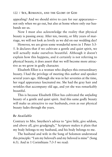appealing? And we should strive to care for our appearance not only when we go out, but also at home where only our husbands see us.

Now I must also acknowledge the reality that physical beauty is passing away. After ten, twenty, or fifty years of marriage, we will not look as lovely as we did on our wedding day!

However, we are given some wonderful news in 1 Peter 3:3- 5. It declares that if we cultivate a gentle and quiet spirit, we will actually make ourselves beautiful. Although it doesn't explain how this happens, and it certainly is not referring to physical beauty, it does assert that we will become more attractive as we grow in godly character.

Elisabeth Elliot is a woman who displays this extraordinary beauty. I had the privilege of meeting this author and speaker several years ago. Although she was in her seventies at the time, her regal appearance fascinated me. She had the gray hair and wrinkles that accompany old age, and yet she was remarkably beautiful.

This is because Elisabeth Elliot has cultivated the *unfading* beauty of a gentle and quiet spirit. And this same godly beauty will make us attractive to our husbands, even as our physical beauty fades through the years.

# *Be Available*

Contrary to Mrs. Smythers's advice to "give little, give seldom, and above all, give grudgingly," Scripture makes it plain that my body belongs to my husband, and his body belongs to me.

The husband and wife in the Song of Solomon understood this principle: "I am my beloved's and my beloved is mine" (Song 6:3). And in 1 Corinthians 7:3-5 we read: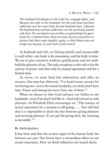*The husband should give to his wife her conjugal rights, and likewise the wife to her husband. For the wife does not have authority over her own body, but the husband does. Likewise the husband does not have authority over his own body, but the wife does. Do not deprive one another, except perhaps by agreement for a limited time, that you may devote yourselves to prayer; but then come together again, so that Satan may not tempt you because of your lack of self-control.*

As husband and wife, we belong entirely and unreservedly to each other—my body is his possession, and his body is mine. We are to give ourselves without qualification and not withhold the pleasure of sex. The only exception to this rule is for the activity of prayer and then only by mutual agreement and for a limited time.

As wives, we must heed this admonition and offer no excuses. One man has observed, "I've heard many excuses for not having sex—not in the mood, headache, too tired, don't have time. Prayer and fasting has never been one of them."<sup>9</sup>

When we choose to obey God and give our bodies to our husbands—even if we don't feel like it—God will reward us with pleasure. As Elisabeth Elliot encourages us: "The essence of sexual enjoyment for a woman is self-giving. . . . You will find that it is impossible to draw the line between giving pleasure and receiving pleasure. If you put the giving first, the receiving is inevitable "10

#### *Be Anticipatory*

It has been said that the sexiest organ of the human body lies between our ears. Our brains have a tremendous effect on our sexual experience. How we think influences our sexual desire.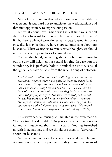Most of us will confess that before marriage our sexual desire was strong. It was hard not to anticipate the wedding night and that first opportunity to express our passion.

But what about now? When was the last time we spent all day looking forward to physical relations with our husbands? If it has been awhile, if we no longer anticipate lovemaking as we once did, it may be that we have stopped fantasizing about our husbands. When we neglect to think sexual thoughts, we should not be surprised by our lack of sexual desire.

On the other hand, fantasizing about our husbands throughout the day will heighten our sexual longing. In case you are wondering, it is perfectly holy to think these erotic, sensual thoughts. Let's take our cue from the wife in Song of Solomon:

*My beloved is radiant and ruddy, distinguished among ten thousand. His head is the finest gold; his locks are wavy, black as a raven. His eyes are like doves beside streams of water, bathed in milk, sitting beside a full pool. His cheeks are like beds of spices, mounds of sweet-smelling herbs. His lips are lilies, dripping liquid myrrh. His arms are rods of gold, set with jewels. His body is polished ivory, bedecked with sapphires. His legs are alabaster columns, set on bases of gold. His appearance is like Lebanon, choice as the cedars. His mouth is most sweet, and he is altogether desirable. (Song 5:10-16)*

This wife's sensual musings culminated in the exclamation: "He is altogether desirable." Do you see how her passion was ignited by fantasizing about her husband? God has furnished us with imaginations, and we should use them to "daydream" about our husbands.

Another common reason for a lack of sexual desire is fatigue. Although weariness is a potential reality in many seasons of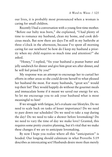our lives, it is probably most pronounced when a woman is caring for small children.

Recently I had a conversation with a young first-time mother. "Before our baby was born," she explained, "I had plenty of time to romance my husband, clean my home, and cook delicious meals. But now there are days I'm still in my bathrobe at three o'clock in the afternoon, because I've spent all morning caring for our newborn! So how do I keep my husband a priority when my child requires so much time and attention?" she asked.

"Honey," I replied, "fix your husband a peanut butter and jelly sandwich for dinner and give him great sex after dinner, and he will feel prized by you!"

My response was an attempt to encourage her to curtail her efforts in other areas so she could devote herself to what pleased her husband the most. For many husbands, "great sex" would top their list! They would happily do without the gourmet meals and immaculate home if it meant we saved our energy for sex. So let me encourage you to ask your husband what is most meaningful to him!

If we struggle with fatigue, let's evaluate our lifestyles. Do we need to scale back on tasks of lesser importance? Do we need to pare down our schedules? Do we need to take a nap during the day? Do we need to take a shower before lovemaking? Do we need to vary the time of day we make love? Granted, this requires some pretty creative planning, but it's vital that we make these changes if we are to anticipate lovemaking.

By now I hope you realize where all this "anticipation" is headed. Our longing should culminate in what Proverbs 5:19 describes as intoxicating sex! Husbands desire more than merely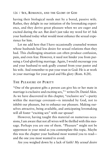having their biological needs met by a bored, passive wife. Rather, they delight in our initiation of the lovemaking experience, and they derive great pleasure when we are eager and excited during the act. But don't just take my word for it! Ask your husband today what would most enhance the sexual experience for him.

Let me add here that I have occasionally counseled women whose husbands had less desire for sexual relations than they had. This challenging situation can often produce confusion, pain, and even fear. However, it need not hinder you from pursuing a God-glorifying marriage. Again, I would encourage you and your husband to seek godly counsel from your pastor and his wife. And remember to put your trust in God: He is at work in your marriage for your good and His glory (Rom. 8:28).

# **TH E PLEASURE OF PURITY**

"One of the greatest gifts a person can give his or her mate in marriage is exclusive and exciting sex,"<sup>11</sup> writes Dr. Daniel Akin. As we have discovered in this chapter, "exclusive sex"—purity within the marriage covenant—is intended by God, not to inhibit our pleasure, but to enhance our pleasure. Making ourselves attractive, being available, and anticipating lovemaking will all foster "exciting sex" with our spouse!

However, having taught this material on numerous occasions, I am aware that not all wives will be thrilled with this message. Perhaps you are one of them. "Pleasure" might not be uppermost in your mind as you contemplate this topic. Maybe this was the chapter your husband most wanted you to read and the one you most wanted to avoid.

Are you weighed down by a lack of faith? *My sexual desire*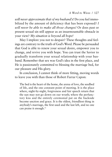*will never approximate that of my husband's!* Do you feel immobilized by the amount of deficiency that has been exposed? *I will never be able to make all those changes!* Or does past or present sexual sin still appear as an insurmountable obstacle in your view? *My situation is beyond all hope!*

May I implore you not to despair? These thoughts and feelings are contrary to the truth of God's Word. Please be persuaded that God is able to renew your sexual desire, empower you to change, and revive you with hope. You can trust the Savior to gradually transform your sexual relationship with your husband. Remember that sex was God's idea in the first place, and He is passionately committed to blessing the marriage bed, for our pleasure and His glory.

In conclusion, I cannot think of more fitting, moving words to leave you with than those of Robert Farrar Capon:

The bed is the heart of the home, the arena of love, the seedbed of life, and the one constant point of meeting. It is the place where, night-by-night, forgiveness and fair speech return that the sun may not go down on our wrath; where the perfunctory kiss and the entirely ceremonial pat on the backside become unction and grace. It is the oldest, friendliest thing in anybody's marriage, the first used and the last left, and no one can praise it enough.<sup>12</sup>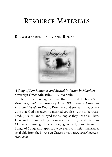# **RESOURCE MATERIALS**

# **RECOMMENDED TAPES AND BOOKS**



# *A Song of Joy: Romance and Sexual Intimacy in Marriage* **Sovereign Grace Ministries — Audio Series**

Here is the marriage seminar that inspired the book *Sex, Romance, and the Glory of God: What Every Christian Husband Needs to Know*. Romance and sexual intimacy are gifts that God has given to married couples—gifts to be treasured, pursued, and enjoyed for as long as they both shall live. Here in five compelling messages from C. J. and Carolyn Mahaney is wise, godly, encouraging counsel, drawn from the Songs of Songs and applicable to every Christian marriage. Available from the Sovereign Grace store. *www.sovereigngracestore.com*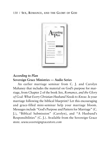#### *According to Plan* **Sovereign Grace Ministries — Audio Series**

An earlier marriage seminar from C. J. and Carolyn Mahaney that includes the material on God's purpose for marriage, from Chapter 2 of the book *Sex, Romance, and the Glory of God: What Every Christian Husband Needs to Know*. Is your marriage following the biblical blueprint? Let this encouraging and grace-filled mini-seminar help your marriage bloom. Messages include "God's Purpose and Pattern for Marriage" (C. J.), "Biblical Submission" (Carolyn), and "A Husband's Responsibilities" (C. J.). Available from the Sovereign Grace store. *www.sovereigngracestore.com*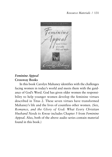

# *Feminine Appeal* **Crossway Books**

In this book Carolyn Mahaney identifies with the challenges facing women in today's world and meets them with the guidance of God's Word. God has given older women the responsibility to help younger women develop the feminine virtues described in Titus 2. These seven virtues have transformed Mahaney's life and the lives of countless other women. (*Sex, Romance, and the Glory of God: What Every Christian Husband Needs to Know* includes Chapter 5 from *Feminine Appeal*. Also, both of the above audio series contain material found in this book.)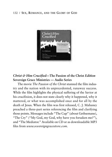

#### *Christ & Him Crucified—***The Passion of the Christ** *Edition* **Sovereign Grace Ministries — Audio Series**

The movie *The Passion of the Christ* stunned the film industry and the nation with its unprecedented, runaway success. While the film highlights the physical suffering of the Savior at his crucifixion, it does not state clearly why it happened, why it mattered, or what was accomplished once and for all by the death of Jesus. When the film was first released, C. J. Mahaney preached a three-part series referencing the film and clarifying those points. Messages include "The Cup" (about Gethsemane), "The Cry" ("My God, my God, why have you forsaken me?"), and "The Mediator." Available on CD or as downloadable MP3 files from *www.sovereigngracestore.com*.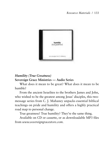

# *Humility (True Greatness)* **Sovereign Grace Ministries — Audio Series**

What does it mean to be great? What does it mean to be humble?

From the ancient Israelites to the brothers James and John, who wished to be the greatest among Jesus' disciples, this twomessage series from C. J. Mahaney unpacks essential biblical teachings on pride and humility and offers a highly practical road map to personal change.

True greatness? True humility? They're the same thing.

Available on CD or cassette, or as downloadable MP3 files from *www.sovereigngracestore.com*.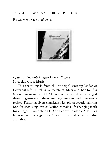# **RECOMMENDED MUSIC** 134 / **SEX, ROMANCE, AND THE GLORY OF GOD**



# *Upward: The Bob Kauflin Hymns Project* **Sovereign Grace Music**

This recording is from the principal worship leader at Covenant Life Church in Gaithersburg, Maryland. Bob Kauflin (a founding member of GLAD) selected, adapted, and arranged these songs—some of them familiar, some new, and some newly revised. Featuring diverse musical styles, plus a devotional from Bob for each song, this collection contains life-changing truth for all ages. Available on CD or as downloadable MP3 files from *www.sovereigngracestore.com*. Free sheet music also available.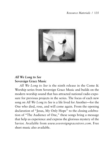

# *All We Long to See* **Sovereign Grace Music**

*All We Long to See* is the ninth release in the Come & Worship series from Sovereign Grace Music and builds on the modern worship sound that has attracted national radio exposure for previous projects in the series. The focus of each new song on *All We Long to See* is a life lived for Another—for the One who died, rose, and will come again. From the opening declaration of "Jesus, My Only Hope" to the closing celebration of "The Audience of One," these songs bring a message that help us experience and express the glorious mystery of the Savior. Available from *www.sovereigngracestore.com*. Free sheet music also available.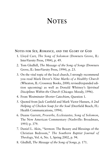# **NOTES**

#### **NOTES FOR** *SEX, ROMANCE, AND THE GLORY OF GOD*

- 1. Lloyd Carr, *The Song of Solomon* (Downers Grove, IL: InterVarsity Press, 1984), p. 49.
- 2. Tom Gledhill, *The Message of the Song of Songs* (Downers Grove, IL: InterVarsity Press, 1994), p. 23.
- 3. On the vital topic of the local church, I strongly recommend you read Mark Dever's *Nine Marks of a Healthy Church* (Wheaton, IL: Crossway Books, 2000; revised/expanded edition upcoming) as well as Donald Whitney's *Spiritual Disciplines Within the Church* (Chicago: Moody, 1996).
- 4. From *Westminster Shorter Catechism*, Question 1.
- 5. Quoted from Jack Canfield and Mark Victor Hansen, *A 2nd Helping of Chicken Soup for the Soul* (Deerfield Beach, FL: Health Communications, 1994).
- 6. Duane Garrett, *Proverbs, Ecclesiastes, Song of Solomon*, The New American Commentary (Nashville: Broadman, 1993) p. 379.
- 7. Daniel L. Akin, "Sermon: The Beauty and Blessings of the Christian Bedroom," *The Southern Baptist Journal of Theology*, Vol. 6, No. 1, Spring 2002, p. 94.
- 8. Gledhill, *The Message of the Song of Songs*, p. 171.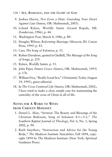- 9. Joshua Harris, *Not Even a Hint: Guarding Your Heart Against Lust* (Sisters, OR: Multnomah, 2003).
- 10. Leland Ryken, *Worldly Saints* (Grand Rapids, MI: Zondervan, 1986), p. 44.
- 11. *Washington Post*, March 4, 1986, p. B9.
- 12. Douglas Wilson, *Reforming Marriage* (Moscow, ID: Canon Press, 1995) p. 83.
- 13. Carr, *The Song of Solomon*, p. 53.
- 14. Robert Davidson, quoted in Gledhill, *The Message of the Song of Songs*, p. 219.
- 15. Ryken, *Worldly Saints,* p. 51.
- 16. John Piper, *Future Grace* (Sisters, OR: Multnomah, 1995) p. 176.
- 17. William Frey, "Really Good Sex," *Christianity Today* (August 19, 1991), guest editorial.
- 18. In *The Cross Centered Life* (Sisters, OR: Multnomah, 2002), I have tried to make a clear, simple case for maintaining the centrality of the cross of Christ in all of life.

#### **NOTES FOR A WORD TO WIVES FROM CAROLYN MAHANEY**

- 1. Daniel L. Akin, "Sermon: The Beauty and Blessings of the Christian Bedroom, Song of Solomon 4:1—5:1," *The Southern Baptist Journal of Theology*, Vol. 6, No. 1, Spring 2002, p. 94.
- 2. Ruth Smythers, "Instruction and Advice for the Young Bride," *The Madison Institute Newsletter*, Fall 1894, copyright 1894 by The Madison Institute (New York: Spiritual Guidance Press).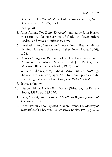- 3. Glenda Revell, *Glenda's Story: Led by Grace* (Lincoln, Neb.: Gateway to Joy, 1997), p. 41.
- 4. Ibid., p. 98.
- 5. Anne Atkins, *The Daily Telegraph*, quoted by John Hosier in a sermon, "Being Servants of God," at Newfrontiers Leaders' and Wives' Conference, 1999.
- 6. Elisabeth Elliot, *Passion and Purity* (Grand Rapids, Mich.: Fleming H. Revell, division of Baker Book House, 2000), p. 26.
- 7. Charles Spurgeon, *Psalms*, Vol. 2, The Crossway Classic Commentaries, Alister McGrath and J. I. Packer, eds. (Wheaton, Ill.: Crossway Books, 1993), p. 61.
- 8. William Shakespeare, *Much Ado About Nothing*, Shakespeare.com, copyright 2000 by Dana Spradley, publisher. Originally taken from *Complete Moby Shakespeare*.
- 9. Source unknown.
- 10. Elisabeth Elliot, *Let Me Be a Woman* (Wheaton, Ill.: Tyndale House, 1987), pp. 169-170.
- 11. Akin, "Beauty and Blessings," *Southern Baptist Journal of Theology*, p. 98.
- 12. Robert Farrar Capon, quoted in Debra Evans, *The Mystery of Womanhood* (Wheaton, Ill.: Crossway Books, 1987), p. 265.